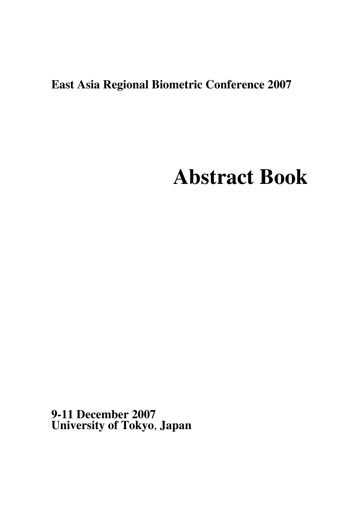## **East Asia Regional Biometric Conference 2007**

# **Abstract Book**

**9-11 December 2007 University of Tokyo**, **Japan**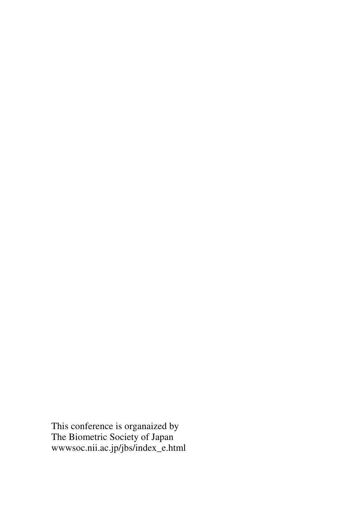This conference is organaized by The Biometric Society of Japan wwwsoc.nii.ac.jp/jbs/index\_e.html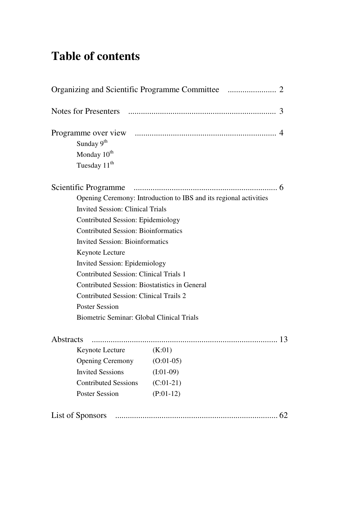## **Table of contents**

|                                               | 3                                                                 |
|-----------------------------------------------|-------------------------------------------------------------------|
|                                               |                                                                   |
| Sunday 9 <sup>th</sup>                        |                                                                   |
| Monday 10 <sup>th</sup>                       |                                                                   |
| Tuesday 11 <sup>th</sup>                      |                                                                   |
|                                               |                                                                   |
|                                               | Opening Ceremony: Introduction to IBS and its regional activities |
| <b>Invited Session: Clinical Trials</b>       |                                                                   |
| Contributed Session: Epidemiology             |                                                                   |
| <b>Contributed Session: Bioinformatics</b>    |                                                                   |
| <b>Invited Session: Bioinformatics</b>        |                                                                   |
| Keynote Lecture                               |                                                                   |
| <b>Invited Session: Epidemiology</b>          |                                                                   |
| <b>Contributed Session: Clinical Trials 1</b> |                                                                   |
| Contributed Session: Biostatistics in General |                                                                   |
| <b>Contributed Session: Clinical Trails 2</b> |                                                                   |
| <b>Poster Session</b>                         |                                                                   |
| Biometric Seminar: Global Clinical Trials     |                                                                   |
| Abstracts                                     |                                                                   |
| $Keynote$ $( K:01)$                           |                                                                   |
| <b>Opening Ceremony</b>                       | $(O:01-05)$                                                       |
| <b>Invited Sessions</b>                       | $(I:01-09)$                                                       |
| <b>Contributed Sessions</b>                   | $(C:01-21)$                                                       |
| <b>Poster Session</b>                         | $(P:01-12)$                                                       |
| List of Sponsors                              | 62                                                                |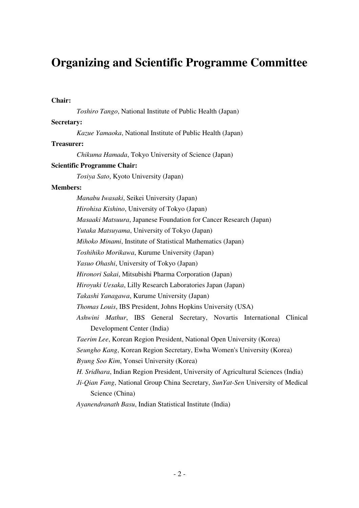### **Organizing and Scientific Programme Committee**

#### **Chair:**

*Toshiro Tango*, National Institute of Public Health (Japan)

#### **Secretary:**

*Kazue Yamaoka*, National Institute of Public Health (Japan)

#### **Treasurer:**

*Chikuma Hamada*, Tokyo University of Science (Japan)

#### **Scientific Programme Chair:**

*Tosiya Sato*, Kyoto University (Japan)

#### **Members:**

*Manabu Iwasaki*, Seikei University (Japan) *Hirohisa Kishino*, University of Tokyo (Japan) *Masaaki Matsuura*, Japanese Foundation for Cancer Research (Japan) *Yutaka Matsuyama*, University of Tokyo (Japan) *Mihoko Minami*, Institute of Statistical Mathematics (Japan) *Toshihiko Morikawa*, Kurume University (Japan) *Yasuo Ohashi*, University of Tokyo (Japan) *Hironori Sakai*, Mitsubishi Pharma Corporation (Japan) *Hiroyuki Uesaka*, Lilly Research Laboratories Japan (Japan) *Takashi Yanagawa*, Kurume University (Japan) *Thomas Louis*, IBS President, Johns Hopkins University (USA) *Ashwini Mathur*, IBS General Secretary, Novartis International Clinical Development Center (India) *Taerim Lee*, Korean Region President, National Open University (Korea) *Seungho Kang*, Korean Region Secretary, Ewha Women's University (Korea) *Byung Soo Kim*, Yonsei University (Korea) *H. Sridhara*, Indian Region President, University of Agricultural Sciences (India) *Ji-Qian Fang*, National Group China Secretary, *SunYat-Sen* University of Medical Science (China) *Ayanendranath Basu*, Indian Statistical Institute (India)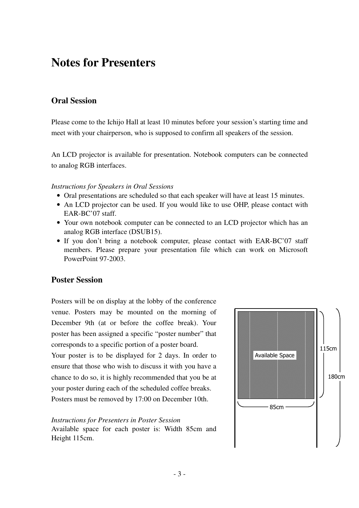### **Notes for Presenters**

### **Oral Session**

Please come to the Ichijo Hall at least 10 minutes before your session's starting time and meet with your chairperson, who is supposed to confirm all speakers of the session.

An LCD projector is available for presentation. Notebook computers can be connected to analog RGB interfaces.

#### *Instructions for Speakers in Oral Sessions*

- Oral presentations are scheduled so that each speaker will have at least 15 minutes.
- An LCD projector can be used. If you would like to use OHP, please contact with EAR-BC'07 staff.
- Your own notebook computer can be connected to an LCD projector which has an analog RGB interface (DSUB15).
- If you don't bring a notebook computer, please contact with EAR-BC'07 staff members. Please prepare your presentation file which can work on Microsoft PowerPoint 97-2003.

#### **Poster Session**

Posters will be on display at the lobby of the conference venue. Posters may be mounted on the morning of December 9th (at or before the coffee break). Your poster has been assigned a specific "poster number" that corresponds to a specific portion of a poster board.

Your poster is to be displayed for 2 days. In order to ensure that those who wish to discuss it with you have a chance to do so, it is highly recommended that you be at your poster during each of the scheduled coffee breaks. Posters must be removed by 17:00 on December 10th.

#### *Instructions for Presenters in Poster Session*

Available space for each poster is: Width 85cm and Height 115cm.

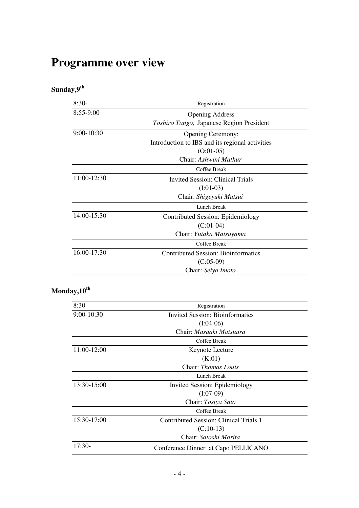## **Programme over view**

### **Sunday,9th**

| $8:30-$      | Registration                                    |
|--------------|-------------------------------------------------|
| 8:55-9:00    | <b>Opening Address</b>                          |
|              | Toshiro Tango, Japanese Region President        |
| $9:00-10:30$ | <b>Opening Ceremony:</b>                        |
|              | Introduction to IBS and its regional activities |
|              | $(O:01-05)$                                     |
|              | Chair: Ashwini Mathur                           |
|              | Coffee Break                                    |
| 11:00-12:30  | Invited Session: Clinical Trials                |
|              | $(I:01-03)$                                     |
|              | Chair. Shigeyuki Matsui                         |
|              | Lunch Break                                     |
| 14:00-15:30  | Contributed Session: Epidemiology               |
|              | $(C:01-04)$                                     |
|              | Chair: Yutaka Matsuyama                         |
|              | Coffee Break                                    |
| 16:00-17:30  | <b>Contributed Session: Bioinformatics</b>      |
|              | $(C:05-09)$                                     |
|              | Chair: Seiya Imoto                              |

### **Monday,10th**

| $8:30-$      | Registration                                  |  |
|--------------|-----------------------------------------------|--|
| $9:00-10:30$ | <b>Invited Session: Bioinformatics</b>        |  |
|              | $(I:04-06)$                                   |  |
|              | Chair: <i>Masaaki Matsuura</i>                |  |
|              | Coffee Break                                  |  |
| 11:00-12:00  | Keynote Lecture                               |  |
|              | (K:01)                                        |  |
|              | Chair: Thomas Louis                           |  |
|              | Lunch Break                                   |  |
| 13:30-15:00  | Invited Session: Epidemiology                 |  |
|              | $(I:07-09)$                                   |  |
|              | Chair: Tosiya Sato                            |  |
|              | Coffee Break                                  |  |
| 15:30-17:00  | <b>Contributed Session: Clinical Trials 1</b> |  |
|              | $(C:10-13)$                                   |  |
|              | Chair: Satoshi Morita                         |  |
| $17:30-$     | Conference Dinner at Capo PELLICANO           |  |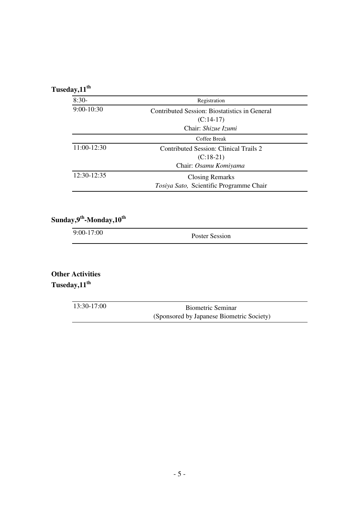### **Tuseday,11th**

| $8:30-$      | Registration                                  |  |
|--------------|-----------------------------------------------|--|
| $9:00-10:30$ | Contributed Session: Biostatistics in General |  |
|              | $(C:14-17)$                                   |  |
|              | Chair: Shizue Izumi                           |  |
|              | Coffee Break                                  |  |
| 11:00-12:30  | Contributed Session: Clinical Trails 2        |  |
|              | $(C:18-21)$                                   |  |
|              | Chair: Osamu Komiyama                         |  |
| 12:30-12:35  | <b>Closing Remarks</b>                        |  |
|              | Tosiya Sato, Scientific Programme Chair       |  |

#### **Sunday,9th-Monday,10th**

9:00-17:00 Poster Session

**Other Activities Tuseday,11th**

| 13:30-17:00 | <b>Biometric Seminar</b>                  |
|-------------|-------------------------------------------|
|             | (Sponsored by Japanese Biometric Society) |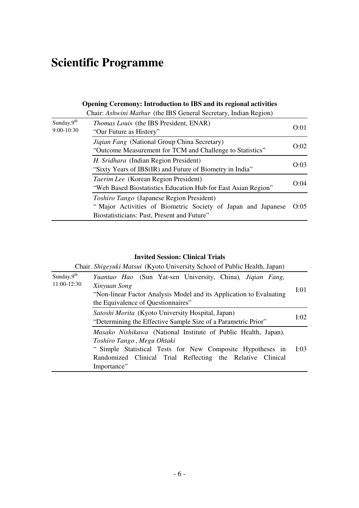## **Scientific Programme**

#### **Opening Ceremony: Introduction to IBS and its regional activities**

Chair: *Ashwini Mathur* (the IBS General Secretary, Indian Region)

| Sunday, $9^{\text{th}}$<br>$9:00-10:30$ | Thomas Louis (the IBS President, ENAR)<br>"Our Future as History"                                                                                        | O:01 |
|-----------------------------------------|----------------------------------------------------------------------------------------------------------------------------------------------------------|------|
|                                         | Jiqian Fang (National Group China Secretary)<br>"Outcome Measurement for TCM and Challenge to Statistics"                                                | O:02 |
|                                         | H. Sridhara (Indian Region President)<br>"Sixty Years of IBS(IR) and Future of Biometry in India"                                                        | O:03 |
|                                         | Taerim Lee (Korean Region President)<br>"Web Based Biostatistics Education Hub for East Asian Region"                                                    | O:04 |
|                                         | Toshiro Tango (Japanese Region President)<br>"Major Activities of Biometric Society of Japan and Japanese<br>Biostatisticians: Past, Present and Future" | O:05 |

#### **Invited Session: Clinical Trials**

Chair. *Shigeyuki Matsui* (Kyoto University School of Public Health, Japan)

| Sunday, $9^{th}$<br>11:00-12:30 | Yuantao Hao (Sun Yat-sen University, China), Jigian Fang,<br>Xinyuan Song<br>"Non-linear Factor Analysis Model and its Application to Evaluating<br>the Equivalence of Questionnaires"                                                  | I:01 |
|---------------------------------|-----------------------------------------------------------------------------------------------------------------------------------------------------------------------------------------------------------------------------------------|------|
|                                 | Satoshi Morita (Kyoto University Hospital, Japan)<br>"Determining the Effective Sample Size of a Parametric Prior"                                                                                                                      | I:02 |
|                                 | Masako Nishikawa (National Institute of Public Health, Japan),<br>Toshiro Tango, Megu Ohtaki<br>" Simple Statistical Tests for New Composite Hypotheses in<br>Randomized Clinical Trial Reflecting the Relative Clinical<br>Importance" | I:03 |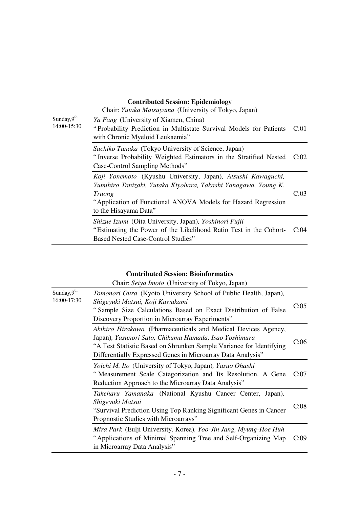#### *Ya Fang* (University of Xiamen, China) " Probability Prediction in Multistate Survival Models for Patients C:01 with Chronic Myeloid Leukaemia" *Sachiko Tanaka* (Tokyo University of Science, Japan) " Inverse Probability Weighted Estimators in the Stratified Nested C:02 Case-Control Sampling Methods" *Koji Yonemoto* (Kyushu University, Japan)*, Atsushi Kawaguchi,* Sunday, $9<sup>th</sup>$ 14:00-15:30 **Contributed Session: Epidemiology** Chair: *Yutaka Matsuyama* (University of Tokyo, Japan)

*Yumihiro Tanizaki, Yutaka Kiyohara, Takashi Yanagawa, Young K. Truong* "Application of Functional ANOVA Models for Hazard Regression to the Hisayama Data" C:03 *Shizue Izumi* (Oita University, Japan)*, Yoshinori Fujii*

"Estimating the Power of the Likelihood Ratio Test in the Cohort-C:04 Based Nested Case-Control Studies"

#### **Contributed Session: Bioinformatics**

|                                 | Chair: Seiya Imoto (University of Tokyo, Japan)                                                                                                                                                                                                              |      |
|---------------------------------|--------------------------------------------------------------------------------------------------------------------------------------------------------------------------------------------------------------------------------------------------------------|------|
| Sunday, $9^{th}$<br>16:00-17:30 | <i>Tomonori Oura</i> (Kyoto University School of Public Health, Japan),<br>Shigeyuki Matsui, Koji Kawakami<br>"Sample Size Calculations Based on Exact Distribution of False<br>Discovery Proportion in Microarray Experiments"                              | C:05 |
|                                 | Akihiro Hirakawa (Pharmaceuticals and Medical Devices Agency,<br>Japan), Yasunori Sato, Chikuma Hamada, Isao Yoshimura<br>"A Test Statistic Based on Shrunken Sample Variance for Identifying<br>Differentially Expressed Genes in Microarray Data Analysis" | C:06 |
|                                 | Yoichi M. Ito (University of Tokyo, Japan), Yasuo Ohashi<br>"Measurement Scale Categorization and Its Resolution. A Gene<br>Reduction Approach to the Microarray Data Analysis"                                                                              | C:07 |
|                                 | Takeharu Yamanaka (National Kyushu Cancer Center, Japan),<br>Shigeyuki Matsui<br>"Survival Prediction Using Top Ranking Significant Genes in Cancer"<br>Prognostic Studies with Microarrays"                                                                 | C:08 |
|                                 | Mira Park (Eulji University, Korea), Yoo-Jin Jang, Myung-Hoe Huh<br>"Applications of Minimal Spanning Tree and Self-Organizing Map<br>in Microarray Data Analysis"                                                                                           | C:09 |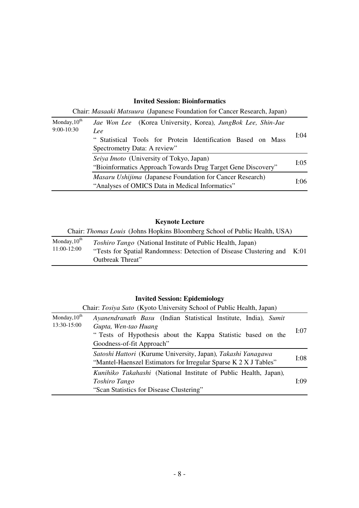#### **Invited Session: Bioinformatics**

Chair: *Masaaki Matsuura* (Japanese Foundation for Cancer Research, Japan)

| Monday, $10^{th}$<br>$9:00-10:30$ | Jae Won Lee (Korea University, Korea), JungBok Lee, Shin-Jae<br>Lee<br>"Statistical Tools for Protein Identification Based on Mass<br>Spectrometry Data: A review" | I:04 |
|-----------------------------------|--------------------------------------------------------------------------------------------------------------------------------------------------------------------|------|
|                                   | Seiya Imoto (University of Tokyo, Japan)<br>"Bioinformatics Approach Towards Drug Target Gene Discovery"                                                           | I:05 |
|                                   | <i>Masaru Ushijima</i> (Japanese Foundation for Cancer Research)<br>"Analyses of OMICS Data in Medical Informatics"                                                | I:06 |

### **Keynote Lecture**

|  | Chair: Thomas Louis (Johns Hopkins Bloomberg School of Public Health, USA) |
|--|----------------------------------------------------------------------------|
|  |                                                                            |

| Monday, $10^{th}$ | <i>Toshiro Tango</i> (National Institute of Public Health, Japan)       |  |
|-------------------|-------------------------------------------------------------------------|--|
| 11:00-12:00       | "Tests for Spatial Randomness: Detection of Disease Clustering and K:01 |  |
|                   | Outbreak Threat"                                                        |  |

### **Invited Session: Epidemiology**

|                                  | Chair: Tosiya Sato (Kyoto University School of Public Health, Japan)                                                                                                                |      |
|----------------------------------|-------------------------------------------------------------------------------------------------------------------------------------------------------------------------------------|------|
| Monday, $10^{th}$<br>13:30-15:00 | Ayanendranath Basu (Indian Statistical Institute, India), Sumit<br>Gupta, Wen-tao Huang<br>"Tests of Hypothesis about the Kappa Statistic based on the<br>Goodness-of-fit Approach" | I:07 |
|                                  | Satoshi Hattori (Kurume University, Japan), Takashi Yanagawa<br>"Mantel-Haenszel Estimators for Irregular Sparse K 2 X J Tables"                                                    | I:08 |
|                                  | Kunihiko Takahashi (National Institute of Public Health, Japan),<br>Toshiro Tango<br>"Scan Statistics for Disease Clustering"                                                       | I:09 |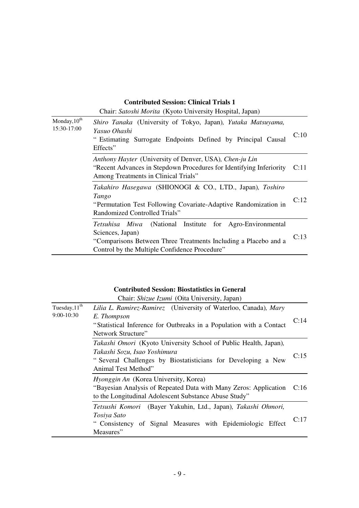#### **Contributed Session: Clinical Trials 1**

|                                         | Chair: Satoshi Morita (Kyoto University Hospital, Japan)                                                                                                                                             |      |
|-----------------------------------------|------------------------------------------------------------------------------------------------------------------------------------------------------------------------------------------------------|------|
| Monday, 10 <sup>th</sup><br>15:30-17:00 | Shiro Tanaka (University of Tokyo, Japan), Yutaka Matsuyama,<br>Yasuo Ohashi<br>" Estimating Surrogate Endpoints Defined by Principal Causal<br>Effects"                                             | C:10 |
|                                         | Anthony Hayter (University of Denver, USA), Chen-ju Lin<br>"Recent Advances in Stepdown Procedures for Identifying Inferiority"<br>Among Treatments in Clinical Trials"                              | C:11 |
|                                         | Takahiro Hasegawa (SHIONOGI & CO., LTD., Japan), Toshiro<br>Tango<br>"Permutation Test Following Covariate-Adaptive Randomization in<br>Randomized Controlled Trials"                                | C:12 |
|                                         | (National Institute for Agro-Environmental<br>Tetsuhisa Miwa<br>Sciences, Japan)<br>"Comparisons Between Three Treatments Including a Placebo and a<br>Control by the Multiple Confidence Procedure" | C:13 |

#### **Contributed Session: Biostatistics in General**

Chair: *Shizue Izumi* (Oita University, Japan)

| Tuesday, 11 <sup>th</sup><br>$9:00-10:30$ | Lilia L. Ramirez-Ramirez (University of Waterloo, Canada), Mary<br>E. Thompson<br>"Statistical Inference for Outbreaks in a Population with a Contact<br>Network Structure"             | C:14 |
|-------------------------------------------|-----------------------------------------------------------------------------------------------------------------------------------------------------------------------------------------|------|
|                                           | Takashi Omori (Kyoto University School of Public Health, Japan),<br>Takashi Sozu, Isao Yoshimura<br>"Several Challenges by Biostatisticians for Developing a New<br>Animal Test Method" | C:15 |
|                                           | <i>Hyonggin An</i> (Korea University, Korea)<br>"Bayesian Analysis of Repeated Data with Many Zeros: Application C:16<br>to the Longitudinal Adolescent Substance Abuse Study"          |      |
|                                           | Tetsushi Komori (Bayer Yakuhin, Ltd., Japan), Takashi Ohmori,<br>Tosiya Sato<br>" Consistency of Signal Measures with Epidemiologic Effect<br>Measures"                                 | C:17 |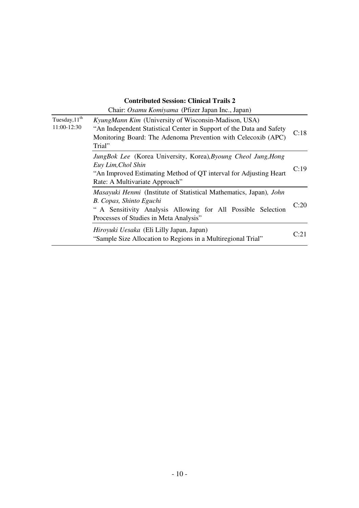#### **Contributed Session: Clinical Trails 2**

|                                          | Chair: Osamu Komiyama (Pfizer Japan Inc., Japan)                                                                                                                                                        |      |
|------------------------------------------|---------------------------------------------------------------------------------------------------------------------------------------------------------------------------------------------------------|------|
| Tuesday, $11^{\text{th}}$<br>11:00-12:30 | KyungMann Kim (University of Wisconsin-Madison, USA)<br>"An Independent Statistical Center in Support of the Data and Safety<br>Monitoring Board: The Adenoma Prevention with Celecoxib (APC)<br>Trial" | C:18 |
|                                          | JungBok Lee (Korea University, Korea), Byoung Cheol Jung, Hong<br>Euy Lim, Chol Shin<br>"An Improved Estimating Method of QT interval for Adjusting Heart<br>Rate: A Multivariate Approach"             | C:19 |
|                                          | Masayuki Henmi (Institute of Statistical Mathematics, Japan), John<br>B. Copas, Shinto Eguchi<br>" A Sensitivity Analysis Allowing for All Possible Selection<br>Processes of Studies in Meta Analysis" | C:20 |
|                                          | Hiroyuki Uesaka (Eli Lilly Japan, Japan)<br>"Sample Size Allocation to Regions in a Multiregional Trial"                                                                                                | C:21 |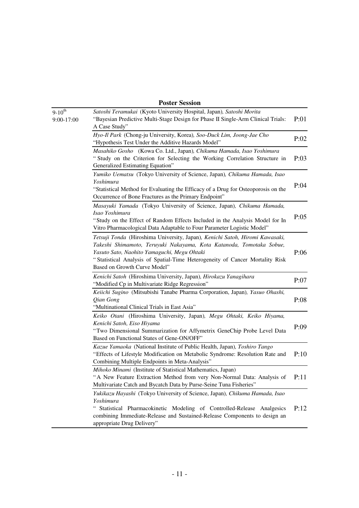#### **Poster Session**

| $9 - 10^{th}$<br>9:00-17:00 | Satoshi Teramukai (Kyoto University Hospital, Japan), Satoshi Morita<br>"Bayesian Predictive Multi-Stage Design for Phase II Single-Arm Clinical Trials:<br>A Case Study"                                                                                                                                           | P:01 |
|-----------------------------|---------------------------------------------------------------------------------------------------------------------------------------------------------------------------------------------------------------------------------------------------------------------------------------------------------------------|------|
|                             | Hyo-Il Park (Chong-ju University, Korea), Soo-Duck Lim, Joong-Jae Cho<br>"Hypothesis Test Under the Additive Hazards Model"                                                                                                                                                                                         | P:02 |
|                             | Masahiko Gosho (Kowa Co. Ltd., Japan), Chikuma Hamada, Isao Yoshimura<br>"Study on the Criterion for Selecting the Working Correlation Structure in<br>Generalized Estimating Equation"                                                                                                                             | P:03 |
|                             | Yumiko Uematsu (Tokyo University of Science, Japan), Chikuma Hamada, Isao<br>Yoshimura<br>"Statistical Method for Evaluating the Efficacy of a Drug for Osteoporosis on the<br>Occurrence of Bone Fractures as the Primary Endpoint"                                                                                | P:04 |
|                             | Masayuki Yamada (Tokyo University of Science, Japan), Chikuma Hamada,<br>Isao Yoshimura<br>"Study on the Effect of Random Effects Included in the Analysis Model for In<br>Vitro Pharmacological Data Adaptable to Four Parameter Logistic Model"                                                                   | P:05 |
|                             | Tetsuji Tonda (Hiroshima University, Japan), Kenichi Satoh, Hiromi Kawasaki,<br>Takeshi Shimamoto, Teruyuki Nakayama, Kota Katanoda, Tomotaka Sobue,<br>Yasuto Sato, Naohito Yamaguchi, Megu Ohtaki<br>"Statistical Analysis of Spatial-Time Heterogeneity of Cancer Mortality Risk<br>Based on Growth Curve Model" | P:06 |
|                             | Kenichi Satoh (Hiroshima University, Japan), Hirokazu Yanagihara<br>"Modified Cp in Multivariate Ridge Regression"                                                                                                                                                                                                  | P:07 |
|                             | Keiichi Sugino (Mitsubishi Tanabe Pharma Corporation, Japan), Yasuo Ohashi,<br>Qian Gong<br>"Multinational Clinical Trials in East Asia"                                                                                                                                                                            | P:08 |
|                             | Keiko Otani (Hiroshima University, Japan), Megu Ohtaki, Keiko Hiyama,<br>Kenichi Satoh, Eiso Hiyama<br>"Two Dimensional Summarization for Affymetrix GeneChip Probe Level Data<br>Based on Functional States of Gene-ON/OFF"                                                                                        | P:09 |
|                             | Kazue Yamaoka (National Institute of Public Health, Japan), Toshiro Tango<br>"Effects of Lifestyle Modification on Metabolic Syndrome: Resolution Rate and<br>Combining Multiple Endpoints in Meta-Analysis"                                                                                                        | P:10 |
|                             | Mihoko Minami (Institute of Statistical Mathematics, Japan)<br>A New Feature Extraction Method from very Non-Normal Data: Analysis of<br>Multivariate Catch and Bycatch Data by Purse-Seine Tuna Fisheries"                                                                                                         | P:11 |
|                             | Yukikazu Hayashi (Tokyo University of Science, Japan), Chikuma Hamada, Isao<br>Yoshimura<br>Statistical Pharmacokinetic Modeling of Controlled-Release Analgesics<br>combining Immediate-Release and Sustained-Release Components to design an<br>appropriate Drug Delivery"                                        | P:12 |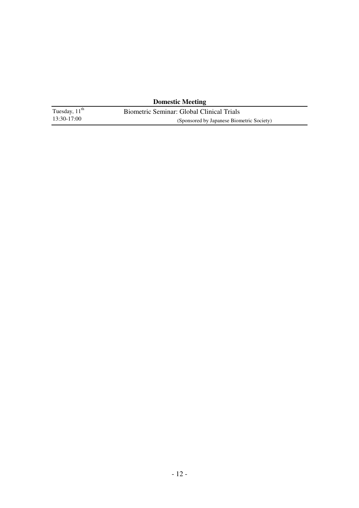| <b>Domestic Meeting</b>   |                                           |  |  |
|---------------------------|-------------------------------------------|--|--|
| Tuesday, $11^{\text{th}}$ | Biometric Seminar: Global Clinical Trials |  |  |
| 13:30-17:00               | (Sponsored by Japanese Biometric Society) |  |  |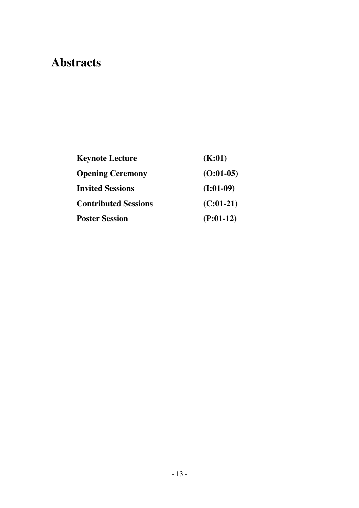## **Abstracts**

| <b>Keynote Lecture</b>      | (K:01)      |
|-----------------------------|-------------|
| <b>Opening Ceremony</b>     | $(O:01-05)$ |
| <b>Invited Sessions</b>     | $(I:01-09)$ |
| <b>Contributed Sessions</b> | $(C:01-21)$ |
| <b>Poster Session</b>       | $(P:01-12)$ |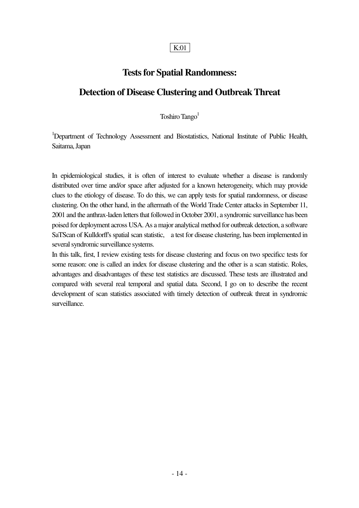#### K:01

### **Tests for Spatial Randomness:**

### **Detection of Disease Clustering and Outbreak Threat**

Toshiro Tango<sup>1</sup>

<sup>1</sup>Department of Technology Assessment and Biostatistics, National Institute of Public Health, Saitama, Japan

In epidemiological studies, it is often of interest to evaluate whether a disease is randomly distributed over time and/or space after adjusted for a known heterogeneity, which may provide clues to the etiology of disease. To do this, we can apply tests for spatial randomness, or disease clustering. On the other hand, in the aftermath of the World Trade Center attacks in September 11, 2001 and the anthrax-laden letters that followed in October 2001, a syndromic surveillance has been poised for deployment across USA. As a major analytical method for outbreak detection, a software SaTScan of Kulldorff's spatial scan statistic, a test for disease clustering, has been implemented in several syndromic surveillance systems.

In this talk, first, I review existing tests for disease clustering and focus on two specificc tests for some reason: one is called an index for disease clustering and the other is a scan statistic. Roles, advantages and disadvantages of these test statistics are discussed. These tests are illustrated and compared with several real temporal and spatial data. Second, I go on to describe the recent development of scan statistics associated with timely detection of outbreak threat in syndromic surveillance.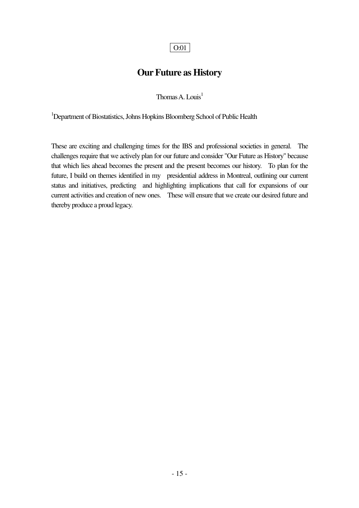### **Our Future as History**

Thomas A. Louis<sup>1</sup>

<sup>1</sup>Department of Biostatistics, Johns Hopkins Bloomberg School of Public Health

These are exciting and challenging times for the IBS and professional societies in general. The challenges require that we actively plan for our future and consider "Our Future as History" because that which lies ahead becomes the present and the present becomes our history. To plan for the future, I build on themes identified in my presidential address in Montreal, outlining our current status and initiatives, predicting and highlighting implications that call for expansions of our current activities and creation of new ones. These will ensure that we create our desired future and thereby produce a proud legacy.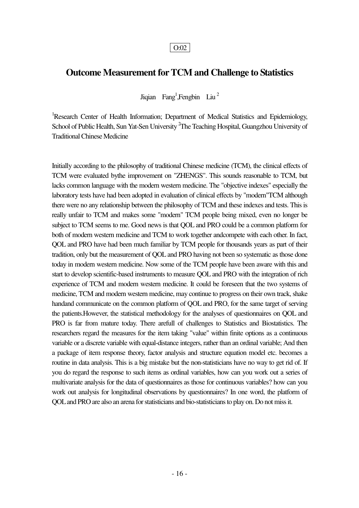### **Outcome Measurement for TCM and Challenge to Statistics**

Jiqian Fang<sup>1</sup>, Fengbin Liu<sup>2</sup>

<sup>1</sup>Research Center of Health Information; Department of Medical Statistics and Epidemiology, School of Public Health, Sun Yat-Sen University <sup>2</sup>The Teaching Hospital, Guangzhou University of Traditional Chinese Medicine

Initially according to the philosophy of traditional Chinese medicine (TCM), the clinical effects of TCM were evaluated bythe improvement on "ZHENGS". This sounds reasonable to TCM, but lacks common language with the modern western medicine. The "objective indexes" especially the laboratory tests have had been adopted in evaluation of clinical effects by "modern"TCM although there were no any relationship between the philosophy of TCM and these indexes and tests. This is really unfair to TCM and makes some "modern" TCM people being mixed, even no longer be subject to TCM seems to me. Good news is that QOL and PRO could be a common platform for both of modern western medicine and TCM to work together andcompete with each other. In fact, QOL and PRO have had been much familiar by TCM people for thousands years as part of their tradition, only but the measurement of QOL and PRO having not been so systematic as those done today in modern western medicine. Now some of the TCM people have been aware with this and start to develop scientific-based instruments to measure QOL and PRO with the integration of rich experience of TCM and modern western medicine. It could be foreseen that the two systems of medicine, TCM and modern western medicine, may continue to progress on their own track, shake handand communicate on the common platform of QOL and PRO, for the same target of serving the patients.However, the statistical methodology for the analyses of questionnaires on QOL and PRO is far from mature today. There arefull of challenges to Statistics and Biostatistics. The researchers regard the measures for the item taking "value" within finite options as a continuous variable or a discrete variable with equal-distance integers, rather than an ordinal variable; And then a package of item response theory, factor analysis and structure equation model etc. becomes a routine in data analysis. This is a big mistake but the non-statisticians have no way to get rid of. If you do regard the response to such items as ordinal variables, how can you work out a series of multivariate analysis for the data of questionnaires as those for continuous variables? how can you work out analysis for longitudinal observations by questionnaires? In one word, the platform of QOL and PRO are also an arena for statisticians and bio-statisticians to play on. Do not miss it.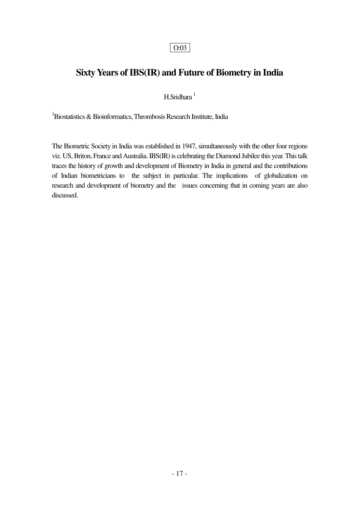### **Sixty Years of IBS(IR) and Future of Biometry in India**

 $H.Sridhara<sup>1</sup>$ 

 $1B$ iostatistics & Bioinformatics, Thrombosis Research Institute, India

The Biometric Society in India was established in 1947, simultaneously with the other four regions viz. US, Briton, France and Australia. IBS(IR) is celebrating the Diamond Jubilee this year. This talk traces the history of growth and development of Biometry in India in general and the contributions of Indian biometricians to the subject in particular. The implications of globalization on research and development of biometry and the issues concerning that in coming years are also discussed.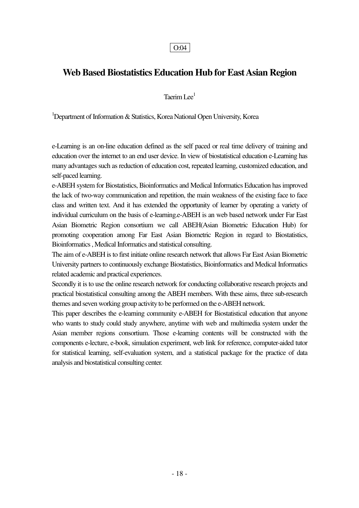### **Web Based Biostatistics Education Hub for East Asian Region**

Taerim I  $ee<sup>1</sup>$ 

<sup>1</sup>Department of Information  $\&$  Statistics, Korea National Open University, Korea

e-Learning is an on-line education defined as the self paced or real time delivery of training and education over the internet to an end user device. In view of biostatistical education e-Learning has many advantages such as reduction of education cost, repeated learning, customized education, and self-paced learning.

e-ABEH system for Biostatistics, Bioinformatics and Medical Informatics Education has improved the lack of two-way communication and repetition, the main weakness of the existing face to face class and written text. And it has extended the opportunity of learner by operating a variety of individual curriculum on the basis of e-learning.e-ABEH is an web based network under Far East Asian Biometric Region consortium we call ABEH(Asian Biometric Education Hub) for promoting cooperation among Far East Asian Biometric Region in regard to Biostatistics, Bioinformatics , Medical Informatics and statistical consulting.

The aim of e-ABEH is to first initiate online research network that allows Far East Asian Biometric University partners to continuously exchange Biostatistics, Bioinformatics and Medical Informatics related academic and practical experiences.

Secondly it is to use the online research network for conducting collaborative research projects and practical biostatistical consulting among the ABEH members. With these aims, three sub-research themes and seven working group activity to be performed on the e-ABEH network.

This paper describes the e-learning community e-ABEH for Biostatistical education that anyone who wants to study could study anywhere, anytime with web and multimedia system under the Asian member regions consortium. Those e-learning contents will be constructed with the components e-lecture, e-book, simulation experiment, web link for reference, computer-aided tutor for statistical learning, self-evaluation system, and a statistical package for the practice of data analysis and biostatistical consulting center.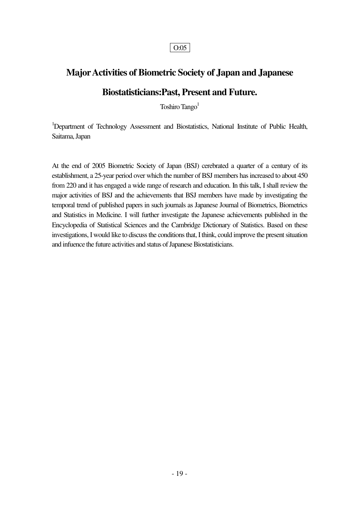### **Major Activities of Biometric Society of Japan and Japanese**

### **Biostatisticians:Past, Present and Future.**

Toshiro Tango<sup>1</sup>

<sup>1</sup>Department of Technology Assessment and Biostatistics, National Institute of Public Health, Saitama, Japan

At the end of 2005 Biometric Society of Japan (BSJ) cerebrated a quarter of a century of its establishment, a 25-year period over which the number of BSJ members has increased to about 450 from 220 and it has engaged a wide range of research and education. In this talk, I shall review the major activities of BSJ and the achievements that BSJ members have made by investigating the temporal trend of published papers in such journals as Japanese Journal of Biometrics, Biometrics and Statistics in Medicine. I will further investigate the Japanese achievements published in the Encyclopedia of Statistical Sciences and the Cambridge Dictionary of Statistics. Based on these investigations, I would like to discuss the conditions that, I think, could improve the present situation and infuence the future activities and status of Japanese Biostatisticians.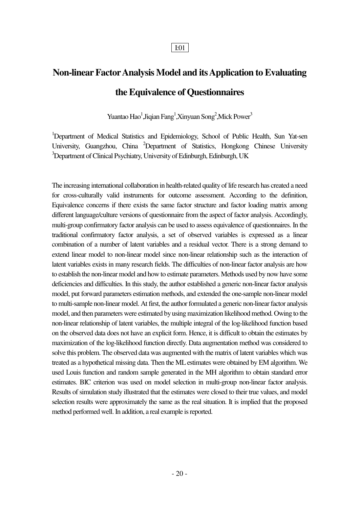## **Non-linear Factor Analysis Model and its Application to Evaluating the Equivalence of Questionnaires**

Yuantao Hao<sup>1</sup>,Jiqian Fang<sup>1</sup>,Xinyuan Song<sup>2</sup>,Mick Power<sup>3</sup>

<sup>1</sup>Department of Medical Statistics and Epidemiology, School of Public Health, Sun Yat-sen University, Guangzhou, China <sup>2</sup>Department of Statistics, Hongkong Chinese University <sup>3</sup>Department of Clinical Psychiatry, University of Edinburgh, Edinburgh, UK

The increasing international collaboration in health-related quality of life research has created a need for cross-culturally valid instruments for outcome assessment. According to the definition, Equivalence concerns if there exists the same factor structure and factor loading matrix among different language/culture versions of questionnaire from the aspect of factor analysis. Accordingly, multi-group confirmatory factor analysis can be used to assess equivalence of questionnaires. In the traditional confirmatory factor analysis, a set of observed variables is expressed as a linear combination of a number of latent variables and a residual vector. There is a strong demand to extend linear model to non-linear model since non-linear relationship such as the interaction of latent variables exists in many research fields. The difficulties of non-linear factor analysis are how to establish the non-linear model and how to estimate parameters. Methods used by now have some deficiencies and difficulties. In this study, the author established a generic non-linear factor analysis model, put forward parameters estimation methods, and extended the one-sample non-linear model to multi-sample non-linear model. At first, the author formulated a generic non-linear factor analysis model, and then parameters were estimated by using maximization likelihood method. Owing to the non-linear relationship of latent variables, the multiple integral of the log-likelihood function based on the observed data does not have an explicit form. Hence, it is difficult to obtain the estimates by maximization of the log-likelihood function directly. Data augmentation method was considered to solve this problem. The observed data was augmented with the matrix of latent variables which was treated as a hypothetical missing data. Then the ML estimates were obtained by EM algorithm. We used Louis function and random sample generated in the MH algorithm to obtain standard error estimates. BIC criterion was used on model selection in multi-group non-linear factor analysis. Results of simulation study illustrated that the estimates were closed to their true values, and model selection results were approximately the same as the real situation. It is implied that the proposed method performed well. In addition, a real example is reported.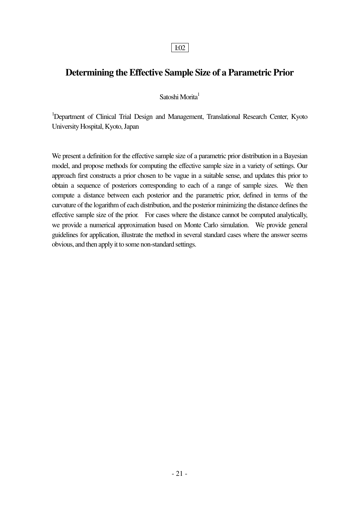### **Determining the Effective Sample Size of a Parametric Prior**

Satoshi Morita<sup>1</sup>

<sup>1</sup>Department of Clinical Trial Design and Management, Translational Research Center, Kyoto University Hospital, Kyoto, Japan

We present a definition for the effective sample size of a parametric prior distribution in a Bayesian model, and propose methods for computing the effective sample size in a variety of settings. Our approach first constructs a prior chosen to be vague in a suitable sense, and updates this prior to obtain a sequence of posteriors corresponding to each of a range of sample sizes. We then compute a distance between each posterior and the parametric prior, defined in terms of the curvature of the logarithm of each distribution, and the posterior minimizing the distance defines the effective sample size of the prior. For cases where the distance cannot be computed analytically, we provide a numerical approximation based on Monte Carlo simulation. We provide general guidelines for application, illustrate the method in several standard cases where the answer seems obvious, and then apply it to some non-standard settings.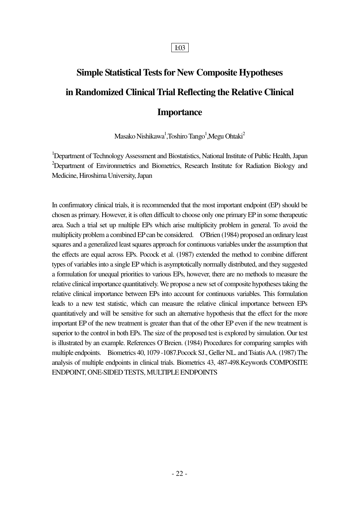## **Simple Statistical Tests for New Composite Hypotheses in Randomized Clinical Trial Reflecting the Relative Clinical Importance**

Masako Nishikawa<sup>1</sup>,Toshiro Tango<sup>1</sup>,Megu Ohtaki<sup>2</sup>

<sup>1</sup>Department of Technology Assessment and Biostatistics, National Institute of Public Health, Japan <sup>2</sup>Department of Environmetrics and Biometrics, Research Institute for Radiation Biology and Medicine, Hiroshima University, Japan

In confirmatory clinical trials, it is recommended that the most important endpoint (EP) should be chosen as primary. However, it is often difficult to choose only one primary EP in some therapeutic area. Such a trial set up multiple EPs which arise multiplicity problem in general. To avoid the multiplicity problem a combined EP can be considered. O'Brien (1984) proposed an ordinary least squares and a generalized least squares approach for continuous variables under the assumption that the effects are equal across EPs. Pocock et al. (1987) extended the method to combine different types of variables into a single EP which is asymptotically normally distributed, and they suggested a formulation for unequal priorities to various EPs, however, there are no methods to measure the relative clinical importance quantitatively. We propose a new set of composite hypotheses taking the relative clinical importance between EPs into account for continuous variables. This formulation leads to a new test statistic, which can measure the relative clinical importance between EPs quantitatively and will be sensitive for such an alternative hypothesis that the effect for the more important EP of the new treatment is greater than that of the other EP even if the new treatment is superior to the control in both EPs. The size of the proposed test is explored by simulation. Our test is illustrated by an example. References O`Breien. (1984) Procedures for comparing samples with multiple endpoints. Biometrics 40, 1079 -1087.Pocock SJ., Geller NL. and Tsiatis AA. (1987) The analysis of multiple endpoints in clinical trials. Biometrics 43, 487-498.Keywords COMPOSITE ENDPOINT, ONE-SIDED TESTS, MULTIPLE ENDPOINTS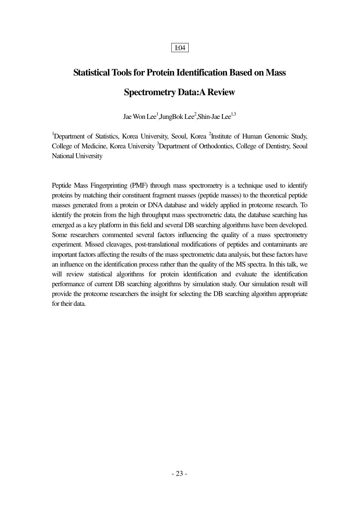## **Statistical Tools for Protein Identification Based on Mass Spectrometry Data:A Review**

Jae Won Lee<sup>1</sup>,JungBok Lee<sup>2</sup>,Shin-Jae Lee<sup>1,3</sup>

<sup>1</sup>Department of Statistics, Korea University, Seoul, Korea <sup>2</sup>Institute of Human Genomic Study, College of Medicine, Korea University <sup>3</sup>Department of Orthodontics, College of Dentistry, Seoul National University

Peptide Mass Fingerprinting (PMF) through mass spectrometry is a technique used to identify proteins by matching their constituent fragment masses (peptide masses) to the theoretical peptide masses generated from a protein or DNA database and widely applied in proteome research. To identify the protein from the high throughput mass spectrometric data, the database searching has emerged as a key platform in this field and several DB searching algorithms have been developed. Some researchers commented several factors influencing the quality of a mass spectrometry experiment. Missed cleavages, post-translational modifications of peptides and contaminants are important factors affecting the results of the mass spectrometric data analysis, but these factors have an influence on the identification process rather than the quality of the MS spectra. In this talk, we will review statistical algorithms for protein identification and evaluate the identification performance of current DB searching algorithms by simulation study. Our simulation result will provide the proteome researchers the insight for selecting the DB searching algorithm appropriate for their data.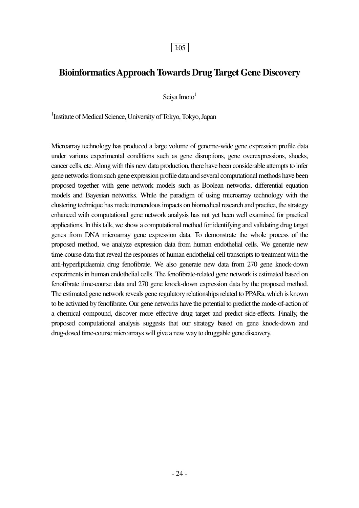### **Bioinformatics Approach Towards Drug Target Gene Discovery**

Seiya Imoto $1$ 

1 Institute of Medical Science, University of Tokyo, Tokyo, Japan

Microarray technology has produced a large volume of genome-wide gene expression profile data under various experimental conditions such as gene disruptions, gene overexpressions, shocks, cancer cells, etc. Along with this new data production, there have been considerable attempts to infer gene networks from such gene expression profile data and several computational methods have been proposed together with gene network models such as Boolean networks, differential equation models and Bayesian networks. While the paradigm of using microarray technology with the clustering technique has made tremendous impacts on biomedical research and practice, the strategy enhanced with computational gene network analysis has not yet been well examined for practical applications. In this talk, we show a computational method for identifying and validating drug target genes from DNA microarray gene expression data. To demonstrate the whole process of the proposed method, we analyze expression data from human endothelial cells. We generate new time-course data that reveal the responses of human endothelial cell transcripts to treatment with the anti-hyperlipidaemia drug fenofibrate. We also generate new data from 270 gene knock-down experiments in human endothelial cells. The fenofibrate-related gene network is estimated based on fenofibrate time-course data and 270 gene knock-down expression data by the proposed method. The estimated gene network reveals gene regulatory relationships related to PPARa, which is known to be activated by fenofibrate. Our gene networks have the potential to predict the mode-of-action of a chemical compound, discover more effective drug target and predict side-effects. Finally, the proposed computational analysis suggests that our strategy based on gene knock-down and drug-dosed time-course microarrays will give a new way to druggable gene discovery.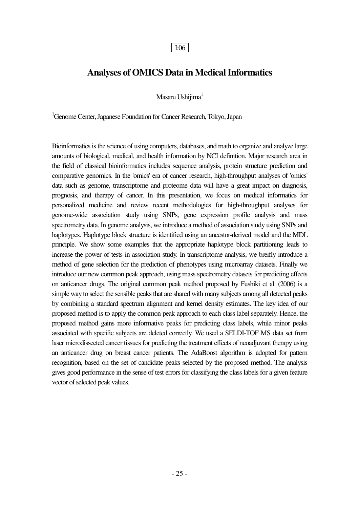### **Analyses of OMICS Data in Medical Informatics**

Masaru Ushijima<sup>1</sup>

<sup>1</sup>Genome Center, Japanese Foundation for Cancer Research, Tokyo, Japan

Bioinformatics is the science of using computers, databases, and math to organize and analyze large amounts of biological, medical, and health information by NCI definition. Major research area in the field of classical bioinformatics includes sequence analysis, protein structure prediction and comparative genomics. In the 'omics' era of cancer research, high-throughput analyses of 'omics' data such as genome, transcriptome and proteome data will have a great impact on diagnosis, prognosis, and therapy of cancer. In this presentation, we focus on medical informatics for personalized medicine and review recent methodologies for high-throughput analyses for genome-wide association study using SNPs, gene expression profile analysis and mass spectrometry data. In genome analysis, we introduce a method of association study using SNPs and haplotypes. Haplotype block structure is identified using an ancestor-derived model and the MDL principle. We show some examples that the appropriate haplotype block partitioning leads to increase the power of tests in association study. In transcriptome analysis, we breifly introduce a method of gene selection for the prediction of phenotypes using microarray datasets. Finally we introduce our new common peak approach, using mass spectrometry datasets for predicting effects on anticancer drugs. The original common peak method proposed by Fushiki et al. (2006) is a simple way to select the sensible peaks that are shared with many subjects among all detected peaks by combining a standard spectrum alignment and kernel density estimates. The key idea of our proposed method is to apply the common peak approach to each class label separately. Hence, the proposed method gains more informative peaks for predicting class labels, while minor peaks associated with specific subjects are deleted correctly. We used a SELDI-TOF MS data set from laser microdissected cancer tissues for predicting the treatment effects of neoadjuvant therapy using an anticancer drug on breast cancer patients. The AdaBoost algorithm is adopted for pattern recognition, based on the set of candidate peaks selected by the proposed method. The analysis gives good performance in the sense of test errors for classifying the class labels for a given feature vector of selected peak values.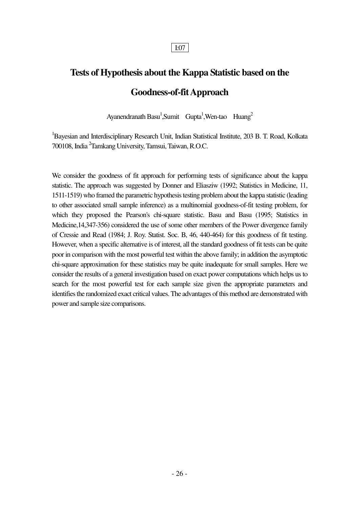## **Tests of Hypothesis about the Kappa Statistic based on the Goodness-of-fit Approach**

Ayanendranath Basu<sup>1</sup>,Sumit Gupta<sup>1</sup>,Wen-tao Huang<sup>2</sup>

<sup>1</sup>Bayesian and Interdisciplinary Research Unit, Indian Statistical Institute, 203 B. T. Road, Kolkata 700108, India <sup>2</sup> Tamkang University, Tamsui, Taiwan, R.O.C.

We consider the goodness of fit approach for performing tests of significance about the kappa statistic. The approach was suggested by Donner and Eliasziw (1992; Statistics in Medicine, 11, 1511-1519) who framed the parametric hypothesis testing problem about the kappa statistic (leading to other associated small sample inference) as a multinomial goodness-of-fit testing problem, for which they proposed the Pearson's chi-square statistic. Basu and Basu (1995; Statistics in Medicine,14,347-356) considered the use of some other members of the Power divergence family of Cressie and Read (1984; J. Roy. Statist. Soc. B, 46, 440-464) for this goodness of fit testing. However, when a specific alternative is of interest, all the standard goodness of fit tests can be quite poor in comparison with the most powerful test within the above family; in addition the asymptotic chi-square approximation for these statistics may be quite inadequate for small samples. Here we consider the results of a general investigation based on exact power computations which helps us to search for the most powerful test for each sample size given the appropriate parameters and identifies the randomized exact critical values. The advantages of this method are demonstrated with power and sample size comparisons.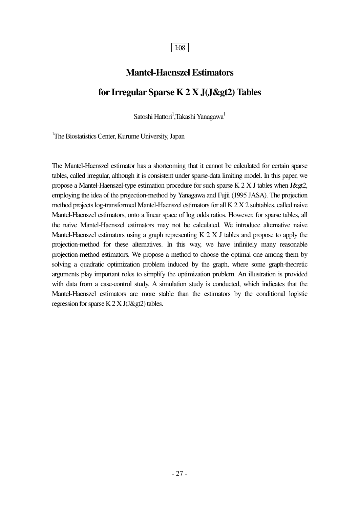### **Mantel-Haenszel Estimators**

### **for Irregular Sparse K 2 X J(J&gt2) Tables**

Satoshi Hattori $^1$ ,Takashi Yanagawa $^1$ 

<sup>1</sup>The Biostatistics Center, Kurume University, Japan

The Mantel-Haenszel estimator has a shortcoming that it cannot be calculated for certain sparse tables, called irregular, although it is consistent under sparse-data limiting model. In this paper, we propose a Mantel-Haenszel-type estimation procedure for such sparse K  $2 X J$  tables when J $\>q$ , employing the idea of the projection-method by Yanagawa and Fujii (1995 JASA). The projection method projects log-transformed Mantel-Haenszel estimators for all K 2 X 2 subtables, called naive Mantel-Haenszel estimators, onto a linear space of log odds ratios. However, for sparse tables, all the naive Mantel-Haenszel estimators may not be calculated. We introduce alternative naive Mantel-Haenszel estimators using a graph representing K 2 X J tables and propose to apply the projection-method for these alternatives. In this way, we have infinitely many reasonable projection-method estimators. We propose a method to choose the optimal one among them by solving a quadratic optimization problem induced by the graph, where some graph-theoretic arguments play important roles to simplify the optimization problem. An illustration is provided with data from a case-control study. A simulation study is conducted, which indicates that the Mantel-Haenszel estimators are more stable than the estimators by the conditional logistic regression for sparse K  $2 \times J(J \>g2)$  tables.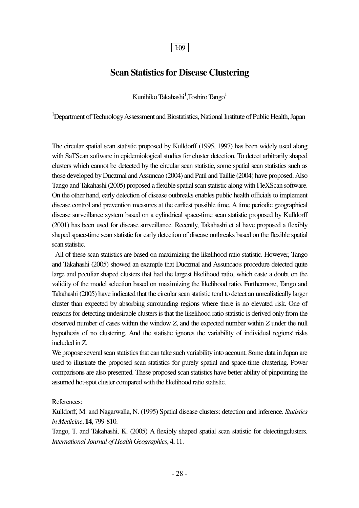### **Scan Statistics for Disease Clustering**

Kunihiko Takahashi<sup>1</sup>, Toshiro Tango<sup>1</sup>

<sup>1</sup>Department of Technology Assessment and Biostatistics, National Institute of Public Health, Japan

The circular spatial scan statistic proposed by Kulldorff (1995, 1997) has been widely used along with SaTScan software in epidemiological studies for cluster detection. To detect arbitrarily shaped clusters which cannot be detected by the circular scan statistic, some spatial scan statistics such as those developed by Duczmal and Assuncao (2004) and Patil and Taillie (2004) have proposed. Also Tango and Takahashi (2005) proposed a flexible spatial scan statistic along with FleXScan software. On the other hand, early detection of disease outbreaks enables public health officials to implement disease control and prevention measures at the earliest possible time. A time periodic geographical disease surveillance system based on a cylindrical space-time scan statistic proposed by Kulldorff (2001) has been used for disease surveillance. Recently, Takahashi et al have proposed a flexibly shaped space-time scan statistic for early detection of disease outbreaks based on the flexible spatial scan statistic.

 All of these scan statistics are based on maximizing the likelihood ratio statistic. However, Tango and Takahashi (2005) showed an example that Duczmal and Assuncao's procedure detected quite large and peculiar shaped clusters that had the largest likelihood ratio, which caste a doubt on the validity of the model selection based on maximizing the likelihood ratio. Furthermore, Tango and Takahashi (2005) have indicated that the circular scan statistic tend to detect an unrealistically larger cluster than expected by absorbing surrounding regions where there is no elevated risk. One of reasons for detecting undesirable clusters is that the likelihood ratio statistic is derived only from the observed number of cases within the window *Z*, and the expected number within *Z* under the null hypothesis of no clustering. And the statistic ignores the variability of individual regions' risks included in *Z*.

We propose several scan statistics that can take such variability into account. Some data in Japan are used to illustrate the proposed scan statistics for purely spatial and space-time clustering. Power comparisons are also presented. These proposed scan statistics have better ability of pinpointing the assumed hot-spot cluster compared with the likelihood ratio statistic.

References:

Kulldorff, M. and Nagarwalla, N. (1995) Spatial disease clusters: detection and inference. *Statistics in Medicine*, **14**, 799-810.

Tango, T. and Takahashi, K. (2005) A flexibly shaped spatial scan statistic for detectingclusters. *International Journal of Health Geographics*, **4**, 11.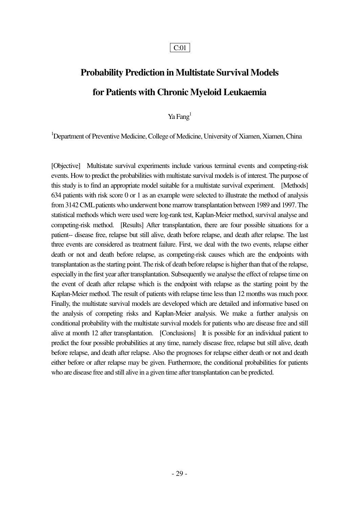## **Probability Prediction in Multistate Survival Models for Patients with Chronic Myeloid Leukaemia**

Ya Fang<sup>1</sup>

<sup>1</sup>Department of Preventive Medicine, College of Medicine, University of Xiamen, Xiamen, China

[Objective] Multistate survival experiments include various terminal events and competing-risk events. How to predict the probabilities with multistate survival models is of interest. The purpose of this study is to find an appropriate model suitable for a multistate survival experiment. [Methods] 634 patients with risk score 0 or 1 as an example were selected to illustrate the method of analysis from 3142 CML patients who underwent bone marrow transplantation between 1989 and 1997. The statistical methods which were used were log-rank test, Kaplan-Meier method, survival analyse and competing-risk method. [Results] After transplantation, there are four possible situations for a patient-- disease free, relapse but still alive, death before relapse, and death after relapse. The last three events are considered as treatment failure. First, we deal with the two events, relapse either death or not and death before relapse, as competing-risk causes which are the endpoints with transplantation as the starting point. The risk of death before relapse is higher than that of the relapse, especially in the first year after transplantation. Subsequently we analyse the effect of relapse time on the event of death after relapse which is the endpoint with relapse as the starting point by the Kaplan-Meier method. The result of patients with relapse time less than 12 months was much poor. Finally, the multistate survival models are developed which are detailed and informative based on the analysis of competing risks and Kaplan-Meier analysis. We make a further analysis on conditional probability with the multistate survival models for patients who are disease free and still alive at month 12 after transplantation. [Conclusions] It is possible for an individual patient to predict the four possible probabilities at any time, namely disease free, relapse but still alive, death before relapse, and death after relapse. Also the prognoses for relapse either death or not and death either before or after relapse may be given. Furthermore, the conditional probabilities for patients who are disease free and still alive in a given time after transplantation can be predicted.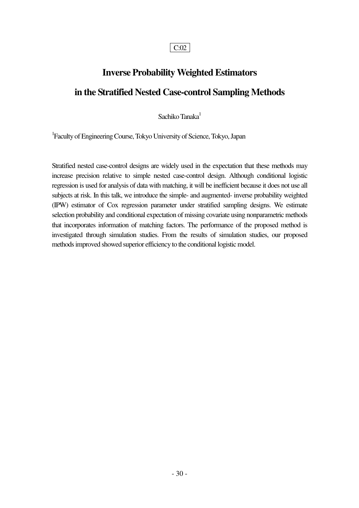## **Inverse Probability Weighted Estimators in the Stratified Nested Case-control Sampling Methods**

Sachiko Tanaka<sup>1</sup>

1 Faculty of Engineering Course, Tokyo University of Science, Tokyo, Japan

Stratified nested case-control designs are widely used in the expectation that these methods may increase precision relative to simple nested case-control design. Although conditional logistic regression is used for analysis of data with matching, it will be inefficient because it does not use all subjects at risk. In this talk, we introduce the simple- and augmented- inverse probability weighted (IPW) estimator of Cox regression parameter under stratified sampling designs. We estimate selection probability and conditional expectation of missing covariate using nonparametric methods that incorporates information of matching factors. The performance of the proposed method is investigated through simulation studies. From the results of simulation studies, our proposed methods improved showed superior efficiency to the conditional logistic model.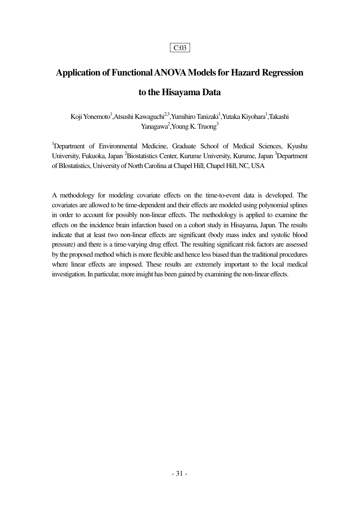## **Application of Functional ANOVA Models for Hazard Regression to the Hisayama Data**

Koji Yonemoto<sup>1</sup>,Atsushi Kawaguchi<sup>2,3</sup>,Yumihiro Tanizaki<sup>1</sup>,Yutaka Kiyohara<sup>1</sup>,Takashi Yanagawa<sup>2</sup>, Young K. Truong<sup>3</sup>

<sup>1</sup>Department of Environmental Medicine, Graduate School of Medical Sciences, Kyushu University, Fukuoka, Japan <sup>2</sup>Biostatistics Center, Kurume University, Kurume, Japan <sup>3</sup>Department of BIostatistics, University of North Carolina at Chapel Hill, Chapel Hill, NC, USA

A methodology for modeling covariate effects on the time-to-event data is developed. The covariates are allowed to be time-dependent and their effects are modeled using polynomial splines in order to account for possibly non-linear effects. The methodology is applied to examine the effects on the incidence brain infarction based on a cohort study in Hisayama, Japan. The results indicate that at least two non-linear effects are significant (body mass index and systolic blood pressure) and there is a time-varying drug effect. The resulting significant risk factors are assessed by the proposed method which is more flexible and hence less biased than the traditional procedures where linear effects are imposed. These results are extremely important to the local medical investigation. In particular, more insight has been gained by examining the non-linear effects.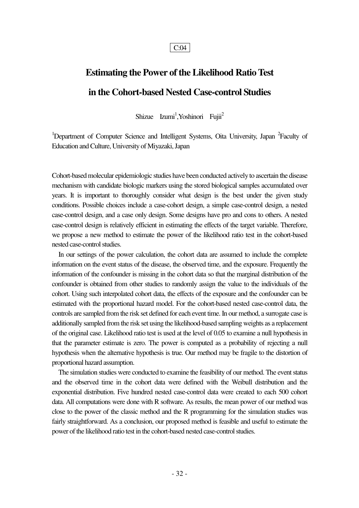## **Estimating the Power of the Likelihood Ratio Test in the Cohort-based Nested Case-control Studies**

Shizue Izumi<sup>1</sup>, Yoshinori Fujii<sup>2</sup>

<sup>1</sup>Department of Computer Science and Intelligent Systems, Oita University, Japan <sup>2</sup>Faculty of Education and Culture, University of Miyazaki, Japan

Cohort-based molecular epidemiologic studies have been conducted actively to ascertain the disease mechanism with candidate biologic markers using the stored biological samples accumulated over years. It is important to thoroughly consider what design is the best under the given study conditions. Possible choices include a case-cohort design, a simple case-control design, a nested case-control design, and a case only design. Some designs have pro and cons to others. A nested case-control design is relatively efficient in estimating the effects of the target variable. Therefore, we propose a new method to estimate the power of the likelihood ratio test in the cohort-based nested case-control studies.

 In our settings of the power calculation, the cohort data are assumed to include the complete information on the event status of the disease, the observed time, and the exposure. Frequently the information of the confounder is missing in the cohort data so that the marginal distribution of the confounder is obtained from other studies to randomly assign the value to the individuals of the cohort. Using such interpolated cohort data, the effects of the exposure and the confounder can be estimated with the proportional hazard model. For the cohort-based nested case-control data, the controls are sampled from the risk set defined for each event time. In our method, a surrogate case is additionally sampled from the risk set using the likelihood-based sampling weights as a replacement of the original case. Likelihood ratio test is used at the level of 0.05 to examine a null hypothesis in that the parameter estimate is zero. The power is computed as a probability of rejecting a null hypothesis when the alternative hypothesis is true. Our method may be fragile to the distortion of proportional hazard assumption.

 The simulation studies were conducted to examine the feasibility of our method. The event status and the observed time in the cohort data were defined with the Weibull distribution and the exponential distribution. Five hundred nested case-control data were created to each 500 cohort data. All computations were done with R software. As results, the mean power of our method was close to the power of the classic method and the R programming for the simulation studies was fairly straightforward. As a conclusion, our proposed method is feasible and useful to estimate the power of the likelihood ratio test in the cohort-based nested case-control studies.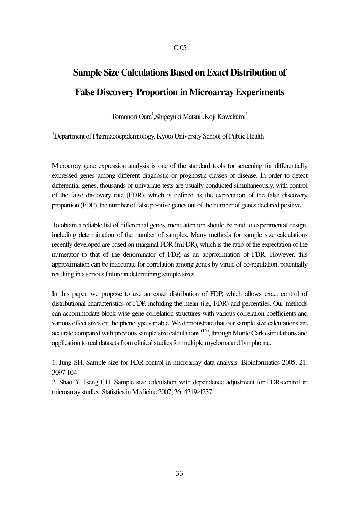## **Sample Size Calculations Based on Exact Distribution of False Discovery Proportion in Microarray Experiments**

Tomonori Oura<sup>1</sup>,Shigeyuki Matsui<sup>1</sup>,Koji Kawakami<sup>1</sup>

<sup>1</sup>Department of Pharmacoepidemiology, Kyoto University School of Public Health

Microarray gene expression analysis is one of the standard tools for screening for differentially expressed genes among different diagnostic or prognostic classes of disease. In order to detect differential genes, thousands of univariate tests are usually conducted simultaneously, with control of the false discovery rate (FDR), which is defined as the expectation of the false discovery proportion (FDP), the number of false positive genes out of the number of genes declared positive.

To obtain a reliable list of differential genes, more attention should be paid to experimental design, including determination of the number of samples. Many methods for sample size calculations recently developed are based on marginal FDR (mFDR), which is the ratio of the expectation of the numerator to that of the denominator of FDP, as an approximation of FDR. However, this approximation can be inaccurate for correlation among genes by virtue of co-regulation, potentially resulting in a serious failure in determining sample sizes.

In this paper, we propose to use an exact distribution of FDP, which allows exact control of distributional characteristics of FDP, including the mean (i.e., FDR) and percentiles. Our methods can accommodate block-wise gene correlation structures with various correlation coefficients and various effect sizes on the phenotype variable. We demonstrate that our sample size calculations are accurate compared with previous sample size calculations  $(1,2)$ , through Monte Carlo simulations and application to real datasets from clinical studies for multiple myeloma and lymphoma.

1. Jung SH. Sample size for FDR-control in microarray data analysis. Bioinformatics 2005; 21: 3097-104

2. Shao Y, Tseng CH. Sample size calculation with dependence adjustment for FDR-control in microarray studies. Statistics in Medicine 2007; 26: 4219-4237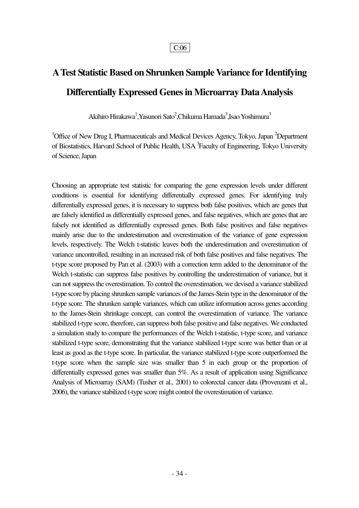## **A Test Statistic Based on Shrunken Sample Variance for Identifying Differentially Expressed Genes in Microarray Data Analysis**

Akihiro Hirakawa<sup>1</sup>,Yasunori Sato<sup>2</sup>,Chikuma Hamada<sup>3</sup>,Isao Yoshimura<sup>3</sup>

<sup>1</sup>Office of New Drug I, Pharmaceuticals and Medical Devices Agency, Tokyo, Japan  ${}^{2}$ Department of Biostatistics, Harvard School of Public Health, USA <sup>3</sup> Faculty of Engineering, Tokyo University of Science, Japan

Choosing an appropriate test statistic for comparing the gene expression levels under different conditions is essential for identifying differentially expressed genes. For identifying truly differentially expressed genes, it is necessary to suppress both false positives, which are genes that are falsely identified as differentially expressed genes, and false negatives, which are genes that are falsely not identified as differentially expressed genes. Both false positives and false negatives mainly arise due to the underestimation and overestimation of the variance of gene expression levels, respectively. The Welch t-statistic leaves both the underestimation and overestimation of variance uncontrolled, resulting in an increased risk of both false positives and false negatives. The t-type score proposed by Pan et al. (2003) with a correction term added to the denominator of the Welch t-statistic can suppress false positives by controlling the underestimation of variance, but it can not suppress the overestimation. To control the overestimation, we devised a variance stabilized t-type score by placing shrunken sample variances of the James-Stein type in the denominator of the t-type score. The shrunken sample variances, which can utilize information across genes according to the James-Stein shrinkage concept, can control the overestimation of variance. The variance stabilized t-type score, therefore, can suppress both false positive and false negatives. We conducted a simulation study to compare the performances of the Welch t-statistic, t-type score, and variance stabilized t-type score, demonstrating that the variance stabilized t-type score was better than or at least as good as the t-type score. In particular, the variance stabilized t-type score outperformed the t-type score when the sample size was smaller than 5 in each group or the proportion of differentially expressed genes was smaller than 5%. As a result of application using Significance Analysis of Microarray (SAM) (Tusher et al., 2001) to colorectal cancer data (Provenzani et al., 2006), the variance stabilized t-type score might control the overestimation of variance.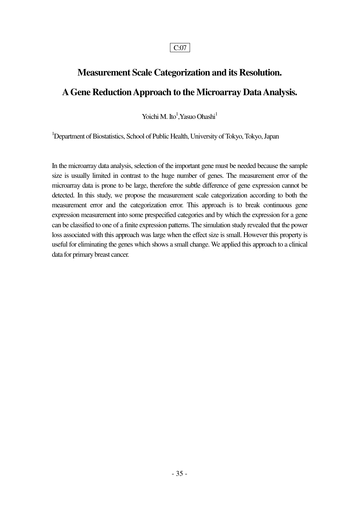## **Measurement Scale Categorization and its Resolution. A Gene Reduction Approach to the Microarray Data Analysis.**

Yoichi M. Ito<sup>1</sup>, Yasuo Ohashi<sup>1</sup>

<sup>1</sup>Department of Biostatistics, School of Public Health, University of Tokyo, Tokyo, Japan

In the microarray data analysis, selection of the important gene must be needed because the sample size is usually limited in contrast to the huge number of genes. The measurement error of the microarray data is prone to be large, therefore the subtle difference of gene expression cannot be detected. In this study, we propose the measurement scale categorization according to both the measurement error and the categorization error. This approach is to break continuous gene expression measurement into some prespecified categories and by which the expression for a gene can be classified to one of a finite expression patterns. The simulation study revealed that the power loss associated with this approach was large when the effect size is small. However this property is useful for eliminating the genes which shows a small change. We applied this approach to a clinical data for primary breast cancer.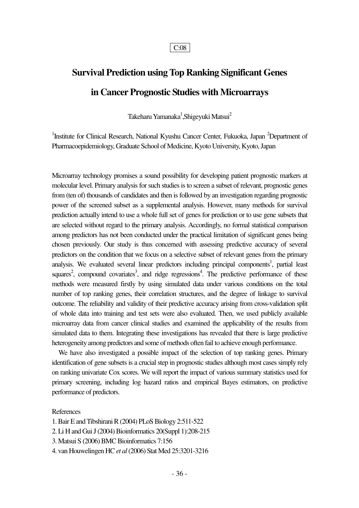## **Survival Prediction using Top Ranking Significant Genes in Cancer Prognostic Studies with Microarrays**

Takeharu Yamanaka $^1$ ,Shigeyuki Matsui $^2$ 

<sup>1</sup>Institute for Clinical Research, National Kyushu Cancer Center, Fukuoka, Japan <sup>2</sup>Department of Pharmacoepidemiology, Graduate School of Medicine, Kyoto University, Kyoto, Japan

Microarray technology promises a sound possibility for developing patient prognostic markers at molecular level. Primary analysis for such studies is to screen a subset of relevant, prognostic genes from (ten of) thousands of candidates and then is followed by an investigation regarding prognostic power of the screened subset as a supplemental analysis. However, many methods for survival prediction actually intend to use a whole full set of genes for prediction or to use gene subsets that are selected without regard to the primary analysis. Accordingly, no formal statistical comparison among predictors has not been conducted under the practical limitation of significant genes being chosen previously. Our study is thus concerned with assessing predictive accuracy of several predictors on the condition that we focus on a selective subset of relevant genes from the primary analysis. We evaluated several linear predictors including principal components<sup>1</sup>, partial least squares<sup>2</sup>, compound covariates<sup>3</sup>, and ridge regressions<sup>4</sup>. The predictive performance of these methods were measured firstly by using simulated data under various conditions on the total number of top ranking genes, their correlation structures, and the degree of linkage to survival outcome. The reliability and validity of their predictive accuracy arising from cross-validation split of whole data into training and test sets were also evaluated. Then, we used publicly available microarray data from cancer clinical studies and examined the applicability of the results from simulated data to them. Integrating these investigations has revealed that there is large predictive heterogeneity among predictors and some of methods often fail to achieve enough performance.

 We have also investigated a possible impact of the selection of top ranking genes. Primary identification of gene subsets is a crucial step in prognostic studies although most cases simply rely on ranking univariate Cox scores. We will report the impact of various summary statistics used for primary screening, including log hazard ratios and empirical Bayes estimators, on predictive performance of predictors.

#### References

1. Bair E and Tibshirani R (2004) PLoS Biology 2:511-522

2. Li H and Gui J (2004) Bioinformatics 20(Suppl 1):208-215

3. Matsui S (2006) BMC Bioinformatics 7:156

4. van Houwelingen HC *et al* (2006) Stat Med 25:3201-3216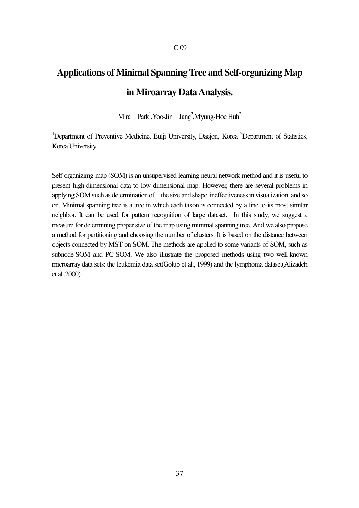## **Applications of Minimal Spanning Tree and Self-organizing Map in Miroarray Data Analysis.**

Mira Park<sup>1</sup>, Yoo-Jin Jang<sup>2</sup>, Myung-Hoe Huh<sup>2</sup>

<sup>1</sup>Department of Preventive Medicine, Eulji University, Daejon, Korea <sup>2</sup>Department of Statistics, Korea University

Self-organizimg map (SOM) is an unsupervised learning neural network method and it is useful to present high-dimensional data to low dimensional map. However, there are several problems in applying SOM such as determination of the size and shape, ineffectiveness in visualization, and so on. Minimal spanning tree is a tree in which each taxon is connected by a line to its most similar neighbor. It can be used for pattern recognition of large dataset. In this study, we suggest a measure for determining proper size of the map using minimal spanning tree. And we also propose a method for partitioning and choosing the number of clusters. It is based on the distance between objects connected by MST on SOM. The methods are applied to some variants of SOM, such as subnode-SOM and PC-SOM. We also illustrate the proposed methods using two well-known microarray data sets: the leukemia data set(Golub et al., 1999) and the lymphoma dataset(Alizadeh et al.,2000).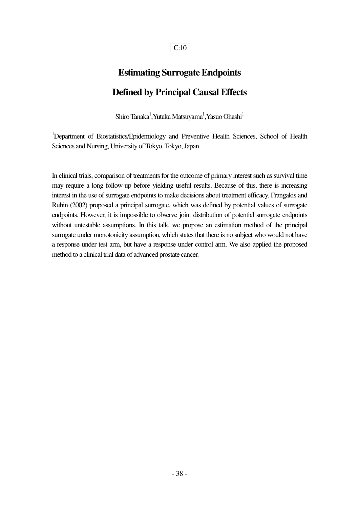## **Estimating Surrogate Endpoints Defined by Principal Causal Effects**

Shiro Tanaka $^{\rm l}$ ,Yutaka Matsuyama $^{\rm l}$ ,Yasuo Ohashi $^{\rm l}$ 

<sup>1</sup>Department of Biostatistics/Epidemiology and Preventive Health Sciences, School of Health Sciences and Nursing, University of Tokyo, Tokyo, Japan

In clinical trials, comparison of treatments for the outcome of primary interest such as survival time may require a long follow-up before yielding useful results. Because of this, there is increasing interest in the use of surrogate endpoints to make decisions about treatment efficacy. Frangakis and Rubin (2002) proposed a principal surrogate, which was defined by potential values of surrogate endpoints. However, it is impossible to observe joint distribution of potential surrogate endpoints without untestable assumptions. In this talk, we propose an estimation method of the principal surrogate under monotonicity assumption, which states that there is no subject who would not have a response under test arm, but have a response under control arm. We also applied the proposed method to a clinical trial data of advanced prostate cancer.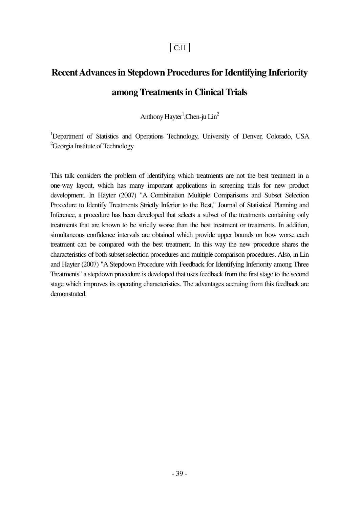## **Recent Advances in Stepdown Procedures for Identifying Inferiority among Treatments in Clinical Trials**

Anthony Hayter<sup>1</sup>, Chen-ju Lin<sup>2</sup>

<sup>1</sup>Department of Statistics and Operations Technology, University of Denver, Colorado, USA <sup>2</sup>Georgia Institute of Technology

This talk considers the problem of identifying which treatments are not the best treatment in a one-way layout, which has many important applications in screening trials for new product development. In Hayter (2007) "A Combination Multiple Comparisons and Subset Selection Procedure to Identify Treatments Strictly Inferior to the Best," Journal of Statistical Planning and Inference, a procedure has been developed that selects a subset of the treatments containing only treatments that are known to be strictly worse than the best treatment or treatments. In addition, simultaneous confidence intervals are obtained which provide upper bounds on how worse each treatment can be compared with the best treatment. In this way the new procedure shares the characteristics of both subset selection procedures and multiple comparison procedures. Also, in Lin and Hayter (2007) "A Stepdown Procedure with Feedback for Identifying Inferiority among Three Treatments" a stepdown procedure is developed that uses feedback from the first stage to the second stage which improves its operating characteristics. The advantages accruing from this feedback are demonstrated.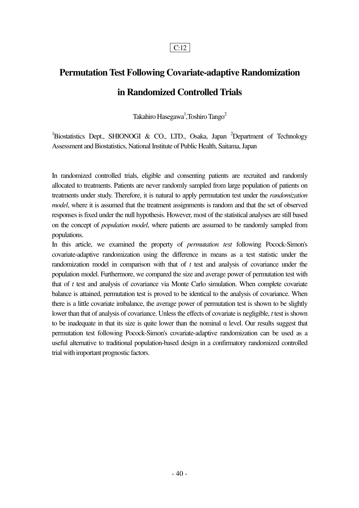## **Permutation Test Following Covariate-adaptive Randomization in Randomized Controlled Trials**

Takahiro Hasegawa $^{\rm l}$ ,Toshiro Tango $^{\rm 2}$ 

<sup>1</sup>Biostatistics Dept., SHIONOGI & CO., LTD., Osaka, Japan <sup>2</sup>Department of Technology Assessment and Biostatistics, National Institute of Public Health, Saitama, Japan

In randomized controlled trials, eligible and consenting patients are recruited and randomly allocated to treatments. Patients are never randomly sampled from large population of patients on treatments under study. Therefore, it is natural to apply permutation test under the *randomization model*, where it is assumed that the treatment assignments is random and that the set of observed responses is fixed under the null hypothesis. However, most of the statistical analyses are still based on the concept of *population model*, where patients are assumed to be randomly sampled from populations.

In this article, we examined the property of *permutation test* following Pocock-Simon's covariate-adaptive randomization using the difference in means as a test statistic under the randomization model in comparison with that of *t* test and analysis of covariance under the population model. Furthermore, we compared the size and average power of permutation test with that of *t* test and analysis of covariance via Monte Carlo simulation. When complete covariate balance is attained, permutation test is proved to be identical to the analysis of covariance. When there is a little covariate imbalance, the average power of permutation test is shown to be slightly lower than that of analysis of covariance. Unless the effects of covariate is negligible, *t* test is shown to be inadequate in that its size is quite lower than the nominal  $\alpha$  level. Our results suggest that permutation test following Pocock-Simon's covariate-adaptive randomization can be used as a useful alternative to traditional population-based design in a confirmatory randomized controlled trial with important prognostic factors.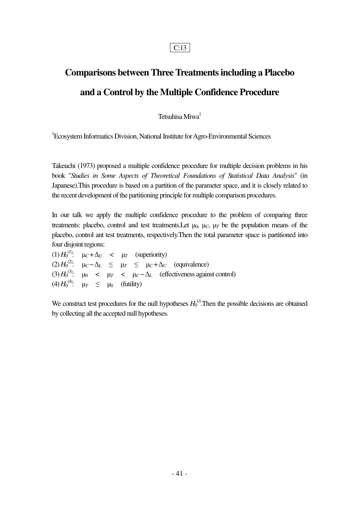## **Comparisons between Three Treatments including a Placebo and a Control by the Multiple Confidence Procedure**

Tetsuhisa Miwa<sup>1</sup>

<sup>1</sup>Ecosystem Informatics Division, National Institute for Agro-Environmental Sciences

Takeuchi (1973) proposed a multiple confidence procedure for multiple decision problems in his book "*Studies in Some Aspects of Theoretical Foundations of Statistical Data Analysis*" (in Japanese).This procedure is based on a partition of the parameter space, and it is closely related to the recent development of the partitioning principle for multiple comparison procedures.

In our talk we apply the multiple confidence procedure to the problem of comparing three treatments: placebo, control and test treatments. Let  $\mu_0$ ,  $\mu_C$ ,  $\mu_T$  be the population means of the placebo, control ant test treatments, respectively.Then the total parameter space is partitioned into four disjoint regions:

 $(1) H_0^{(1)}$ :  $\mu_C + \Delta_U$  <  $\mu_T$  (superiority)  $(2) H_0^{(2)}$ :  $\mu_C - \Delta_L \leq \mu_T \leq \mu_C + \Delta_U$  (equivalence) (3)  $H_0^{(3)}$ :  $\mu_0$  <  $\mu_T$  <  $\mu_C - \Delta_L$  (effectiveness against control) (4)  $H_0^{(4)}$ :  $\mu_T \le \mu_0$  (futility)

We construct test procedures for the null hypotheses  $H_0^{(i)}$ . Then the possible decisions are obtained by collecting all the accepted null hypotheses.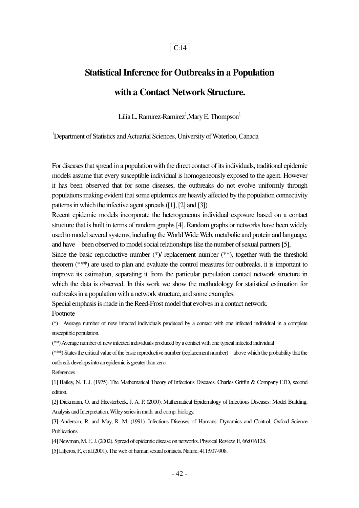## **Statistical Inference for Outbreaks in a Population with a Contact Network Structure.**

Lilia L. Ramirez-Ramirez $^1$ ,Mary E. Thompson $^1$ 

<sup>1</sup>Department of Statistics and Actuarial Sciences, University of Waterloo, Canada

For diseases that spread in a population with the direct contact of its individuals, traditional epidemic models assume that every susceptible individual is homogeneously exposed to the agent. However it has been observed that for some diseases, the outbreaks do not evolve uniformly through populations making evident that some epidemics are heavily affected by the population connectivity patterns in which the infective agent spreads ([1], [2] and [3]).

Recent epidemic models incorporate the heterogeneous individual exposure based on a contact structure that is built in terms of random graphs [4]. Random graphs or networks have been widely used to model several systems, including the World Wide Web, metabolic and protein and language, and have been observed to model social relationships like the number of sexual partners [5],

Since the basic reproductive number  $(*)$  replacement number  $(**)$ , together with the threshold theorem (\*\*\*) are used to plan and evaluate the control measures for outbreaks, it is important to improve its estimation, separating it from the particular population contact network structure in which the data is observed. In this work we show the methodology for statistical estimation for outbreaks in a population with a network structure, and some examples.

Special emphasis is made in the Reed-Frost model that evolves in a contact network.

Footnote

(\*) Average number of new infected individuals produced by a contact with one infected individual in a complete susceptible population.

(\*\*) Average number of new infected individuals produced by a contact with one typical infected individual

(\*\*\*) States the critical value of the basic reproductive number (replacement number) above which the probability that the outbreak develops into an epidemic is greater than zero.

References

[1] Bailey, N. T. J. (1975). The Mathematical Theory of Infectious Diseases. Charles Griffin & Company LTD, second edition.

[2] Diekmann, O. and Heesterbeek, J. A. P. (2000). Mathematical Epidemilogy of Infectious Diseases: Model Building, Analysis and Interpretation. Wiley series in math. and comp. biology.

[3] Anderson, R. and May, R. M. (1991). Infectious Diseases of Humans: Dynamics and Control. Oxford Science **Publications** 

[4] Newman, M. E. J. (2002). Spread of epidemic disease on networks. Physical Review, E, 66:016128.

[5] Liljeros, F., et al.(2001). The web of human sexual contacts. Nature, 411:907-908.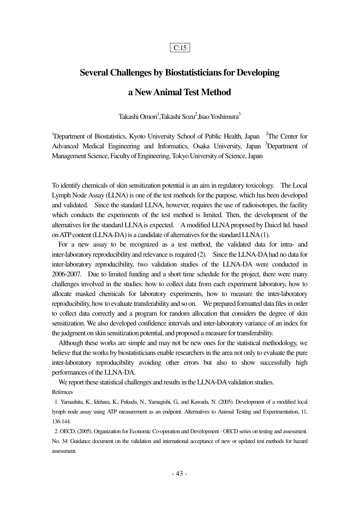# **Several Challenges by Biostatisticians for Developing**

## **a New Animal Test Method**

Takashi Omori<sup>1</sup>,Takashi Sozu<sup>2</sup>,Isao Yoshimura<sup>3</sup>

<sup>1</sup>Department of Biostatistics, Kyoto University School of Public Health, Japan <sup>2</sup>The Center for Advanced Medical Engineering and Informatics, Osaka University, Japan <sup>3</sup>Department of Management Science, Faculty of Engineering, Tokyo University of Science, Japan

To identify chemicals of skin sensitization potential is an aim in regulatory toxicology. The Local Lymph Node Assay (LLNA) is one of the test methods for the purpose, which has been developed and validated. Since the standard LLNA, however, requires the use of radioisotopes, the facility which conducts the experiments of the test method is limited. Then, the development of the alternatives for the standard LLNA is expected. A modified LLNA proposed by Daicel ltd. based on ATP content (LLNA-DA) is a candidate of alternatives for the standard LLNA (1).

 For a new assay to be recognized as a test method, the validated data for intra- and inter-laboratory reproducibility and relevance is required (2). Since the LLNA-DA had no data for inter-laboratory reproducibility, two validation studies of the LLNA-DA were conducted in 2006-2007. Due to limited funding and a short time schedule for the project, there were many challenges involved in the studies: how to collect data from each experiment laboratory, how to allocate masked chemicals for laboratory experiments, how to measure the inter-laboratory reproducibility, how to evaluate transferability and so on. We prepared formatted data files in order to collect data correctly and a program for random allocation that considers the degree of skin sensitization. We also developed confidence intervals and inter-laboratory variance of an index for the judgment on skin sensitization potential, and proposed a measure for transferability.

 Although these works are simple and may not be new ones for the statistical methodology, we believe that the works by biostatisticians enable researchers in the area not only to evaluate the pure inter-laboratory reproducibility avoiding other errors but also to show successfully high performances of the LLNA-DA.

 We report these statistical challenges and results in the LLNA-DA validation studies. Refernces

 1. Yamashita, K., Idehara, K., Fukuda, N., Yamagishi, G., and Kawada, N. (2005). Development of a modified local lymph node assay using ATP measurement as an endpoint. Alternatives to Animal Testing and Experimentation, 11, 136-144.

 2. OECD. (2005). Organization for Economic Co-operation and Development - OECD series on testing and assessment. No. 34: Guidance document on the validation and international acceptance of new or updated test methods for hazard assessment.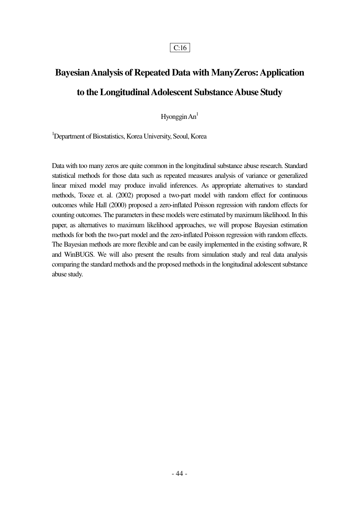## **Bayesian Analysis of Repeated Data with ManyZeros: Application to the Longitudinal Adolescent Substance Abuse Study**

Hyonggin  $An<sup>1</sup>$ 

<sup>1</sup>Department of Biostatistics, Korea University, Seoul, Korea

Data with too many zeros are quite common in the longitudinal substance abuse research. Standard statistical methods for those data such as repeated measures analysis of variance or generalized linear mixed model may produce invalid inferences. As appropriate alternatives to standard methods, Tooze et. al. (2002) proposed a two-part model with random effect for continuous outcomes while Hall (2000) proposed a zero-inflated Poisson regression with random effects for counting outcomes. The parameters in these models were estimated by maximum likelihood. In this paper, as alternatives to maximum likelihood approaches, we will propose Bayesian estimation methods for both the two-part model and the zero-inflated Poisson regression with random effects. The Bayesian methods are more flexible and can be easily implemented in the existing software, R and WinBUGS. We will also present the results from simulation study and real data analysis comparing the standard methods and the proposed methods in the longitudinal adolescent substance abuse study.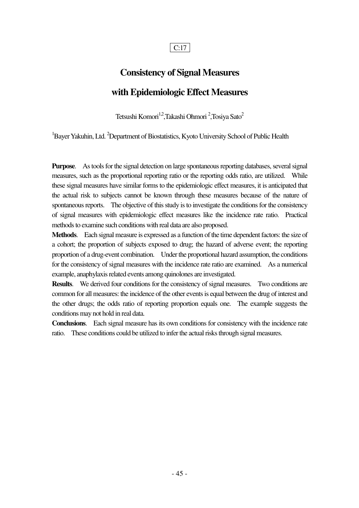## **Consistency of Signal Measures with Epidemiologic Effect Measures**

Tetsushi Komori<sup>1,2</sup>,Takashi Ohmori <sup>2</sup>,Tosiya Sato<sup>2</sup>

 ${}^{1}$ Bayer Yakuhin, Ltd.  ${}^{2}$ Department of Biostatistics, Kyoto University School of Public Health

**Purpose**. As tools for the signal detection on large spontaneous reporting databases, several signal measures, such as the proportional reporting ratio or the reporting odds ratio, are utilized. While these signal measures have similar forms to the epidemiologic effect measures, it is anticipated that the actual risk to subjects cannot be known through these measures because of the nature of spontaneous reports. The objective of this study is to investigate the conditions for the consistency of signal measures with epidemiologic effect measures like the incidence rate ratio. Practical methods to examine such conditions with real data are also proposed.

**Methods**. Each signal measure is expressed as a function of the time dependent factors: the size of a cohort; the proportion of subjects exposed to drug; the hazard of adverse event; the reporting proportion of a drug-event combination. Under the proportional hazard assumption, the conditions for the consistency of signal measures with the incidence rate ratio are examined. As a numerical example, anaphylaxis related events among quinolones are investigated.

**Results**. We derived four conditions for the consistency of signal measures. Two conditions are common for all measures: the incidence of the other events is equal between the drug of interest and the other drugs; the odds ratio of reporting proportion equals one. The example suggests the conditions may not hold in real data.

**Conclusions**. Each signal measure has its own conditions for consistency with the incidence rate ratio. These conditions could be utilized to infer the actual risks through signal measures.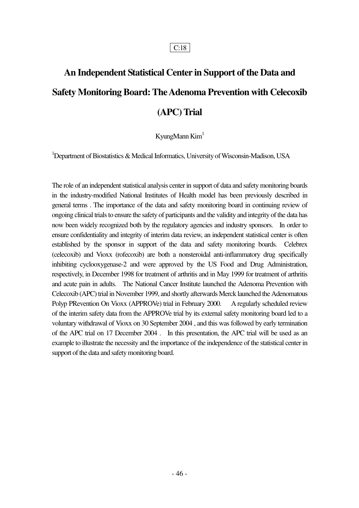## **An Independent Statistical Center in Support of the Data and Safety Monitoring Board: The Adenoma Prevention with Celecoxib (APC) Trial**

#### KyungMann Kim<sup>1</sup>

<sup>1</sup>Department of Biostatistics & Medical Informatics, University of Wisconsin-Madison, USA

The role of an independent statistical analysis center in support of data and safety monitoring boards in the industry-modified National Institutes of Health model has been previously described in general terms . The importance of the data and safety monitoring board in continuing review of ongoing clinical trials to ensure the safety of participants and the validity and integrity of the data has now been widely recognized both by the regulatory agencies and industry sponsors. In order to ensure confidentiality and integrity of interim data review, an independent statistical center is often established by the sponsor in support of the data and safety monitoring boards. Celebrex (celecoxib) and Vioxx (rofecoxib) are both a nonsteroidal anti-inflammatory drug specifically inhibiting cyclooxygenase-2 and were approved by the US Food and Drug Administration, respectively, in December 1998 for treatment of arthritis and in May 1999 for treatment of arthritis and acute pain in adults. The National Cancer Institute launched the Adenoma Prevention with Celecoxib (APC) trial in November 1999, and shortly afterwards Merck launched the Adenomatous Polyp PRevention On Vioxx (APPROVe) trial in February 2000. A regularly scheduled review of the interim safety data from the APPROVe trial by its external safety monitoring board led to a voluntary withdrawal of Vioxx on 30 September 2004 , and this was followed by early termination of the APC trial on 17 December 2004 . In this presentation, the APC trial will be used as an example to illustrate the necessity and the importance of the independence of the statistical center in support of the data and safety monitoring board.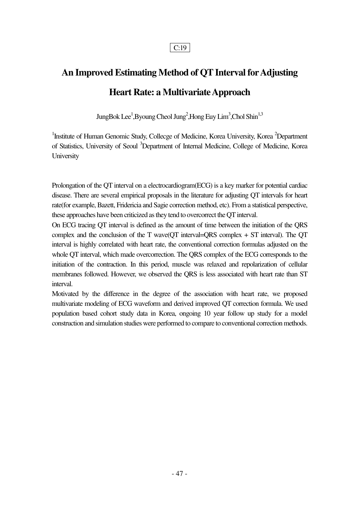## **An Improved Estimating Method of QT Interval for Adjusting Heart Rate: a Multivariate Approach**

JungBok Lee<sup>1</sup>,Byoung Cheol Jung<sup>2</sup>,Hong Euy Lim<sup>3</sup>,Chol Shin<sup>1,3</sup>

<sup>1</sup>Institute of Human Genomic Study, Collecge of Medicine, Korea University, Korea <sup>2</sup>Department of Statistics, University of Seoul <sup>3</sup>Department of Internal Medicine, College of Medicine, Korea University

Prolongation of the QT interval on a electrocardiogram(ECG) is a key marker for potential cardiac disease. There are several empirical proposals in the literature for adjusting QT intervals for heart rate(for example, Bazett, Fridericia and Sagie correction method, etc). From a statistical perspective, these approaches have been criticized as they tend to overcorrect the QT interval.

On ECG tracing QT interval is defined as the amount of time between the initiation of the QRS complex and the conclusion of the T wave(QT interval=QRS complex + ST interval). The QT interval is highly correlated with heart rate, the conventional correction formulas adjusted on the whole QT interval, which made overcorrection. The QRS complex of the ECG corresponds to the initiation of the contraction. In this period, muscle was relaxed and repolarization of cellular membranes followed. However, we observed the QRS is less associated with heart rate than ST interval.

Motivated by the difference in the degree of the association with heart rate, we proposed multivariate modeling of ECG waveform and derived improved QT correction formula. We used population based cohort study data in Korea, ongoing 10 year follow up study for a model construction and simulation studies were performed to compare to conventional correction methods.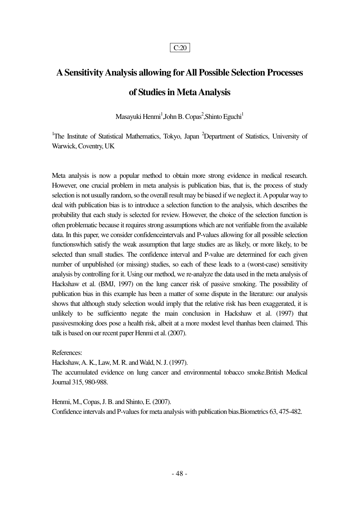## **A Sensitivity Analysis allowing for All Possible Selection Processes of Studies in Meta Analysis**

Masayuki Henmi $^1$ ,John B. Copas $^2$ ,Shinto Eguchi $^1$ 

<sup>1</sup>The Institute of Statistical Mathematics, Tokyo, Japan <sup>2</sup>Department of Statistics, University of Warwick, Coventry, UK

Meta analysis is now a popular method to obtain more strong evidence in medical research. However, one crucial problem in meta analysis is publication bias, that is, the process of study selection is not usually random, so the overall result may be biased if we neglect it. A popular way to deal with publication bias is to introduce a selection function to the analysis, which describes the probability that each study is selected for review. However, the choice of the selection function is often problematic because it requires strong assumptions which are not verifiable from the available data. In this paper, we consider confidenceintervals and P-values allowing for all possible selection functionswhich satisfy the weak assumption that large studies are as likely, or more likely, to be selected than small studies. The confidence interval and P-value are determined for each given number of unpublished (or missing) studies, so each of these leads to a (worst-case) sensitivity analysis by controlling for it. Using our method, we re-analyze the data used in the meta analysis of Hackshaw et al. (BMJ, 1997) on the lung cancer risk of passive smoking. The possibility of publication bias in this example has been a matter of some dispute in the literature: our analysis shows that although study selection would imply that the relative risk has been exaggerated, it is unlikely to be sufficientto negate the main conclusion in Hackshaw et al. (1997) that passivesmoking does pose a health risk, albeit at a more modest level thanhas been claimed. This talk is based on our recent paper Henmi et al. (2007).

References:

Hackshaw, A. K., Law, M. R. and Wald, N. J. (1997).

The accumulated evidence on lung cancer and environmental tobacco smoke.British Medical Journal 315, 980-988.

Henmi, M., Copas, J. B. and Shinto, E. (2007). Confidence intervals and P-values for meta analysis with publication bias.Biometrics 63, 475-482.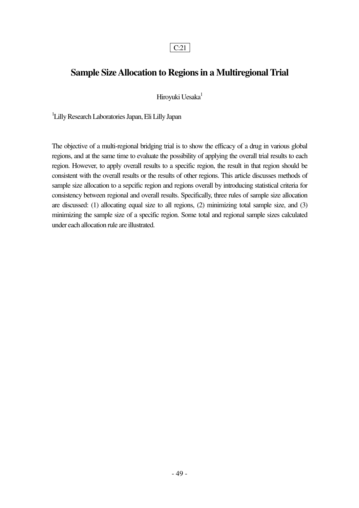### **Sample Size Allocation to Regions in a Multiregional Trial**

Hiroyuki Uesaka<sup>1</sup>

1 Lilly Research Laboratories Japan, Eli Lilly Japan

The objective of a multi-regional bridging trial is to show the efficacy of a drug in various global regions, and at the same time to evaluate the possibility of applying the overall trial results to each region. However, to apply overall results to a specific region, the result in that region should be consistent with the overall results or the results of other regions. This article discusses methods of sample size allocation to a sepcific region and regions overall by introducing statistical criteria for consistency between regional and overall results. Specifically, three rules of sample size allocation are discussed: (1) allocating equal size to all regions, (2) minimizing total sample size, and (3) minimizing the sample size of a specific region. Some total and regional sample sizes calculated under each allocation rule are illustrated.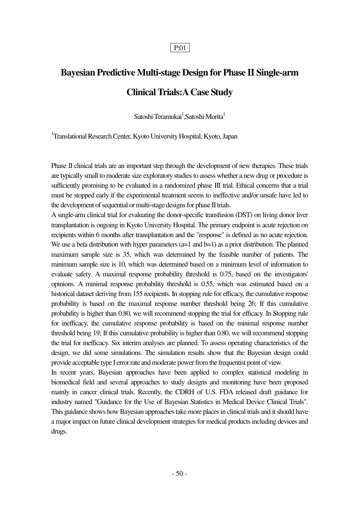## **Bayesian Predictive Multi-stage Design for Phase II Single-arm Clinical Trials:A Case Study**

Satoshi Teramukai<sup>1</sup>,Satoshi Morita<sup>1</sup>

<sup>1</sup>Translational Research Center, Kyoto University Hospital, Kyoto, Japan

Phase II clinical trials are an important step through the development of new therapies. These trials are typically small to moderate size exploratory studies to assess whether a new drug or procedure is sufficiently promising to be evaluated in a randomized phase III trial. Ethical concerns that a trial must be stopped early if the experimental treatment seems to ineffective and/or unsafe have led to the development of sequential or multi-stage designs for phase II trials.

A single-arm clinical trial for evaluating the donor-specific transfusion (DST) on living donor liver transplantation is ongoing in Kyoto University Hospital. The primary endpoint is acute rejection on recipients within 6 months after transplantation and the "response" is defined as no acute rejection. We use a beta distribution with hyper parameters  $(a=1 \text{ and } b=1)$  as a prior distribution. The planned maximum sample size is 35, which was determined by the feasible number of patients. The minimum sample size is 10, which was determined based on a minimum level of information to evaluate safety. A maximal response probability threshold is 0.75, based on the investigators' opinions. A minimal response probability threshold is 0.55, which was estimated based on a historical dataset deriving from 155 recipients. In stopping rule for efficacy, the cumulative response probability is based on the maximal response number threshold being 26; If this cumulative probability is higher than 0.80, we will recommend stopping the trial for efficacy. In Stopping rule for inefficacy, the cumulative response probability is based on the minimal response number threshold being 19; If this cumulative probability is higher than 0.80, we will recommend stopping the trial for inefficacy. Six interim analyses are planned. To assess operating characteristics of the design, we did some simulations. The simulation results show that the Bayesian design could provide acceptable type I error rate and moderate power from the frequentist point of view.

In recent years, Bayesian approaches have been applied to complex statistical modeling in biomedical field and several approaches to study designs and monitoring have been proposed mainly in cancer clinical trials. Recently, the CDRH of U.S. FDA released draft guidance for industry named "Guidance for the Use of Bayesian Statistics in Medical Device Clinical Trials". This guidance shows how Bayesian approaches take more places in clinical trials and it should have a major impact on future clinical development strategies for medical products including devices and drugs.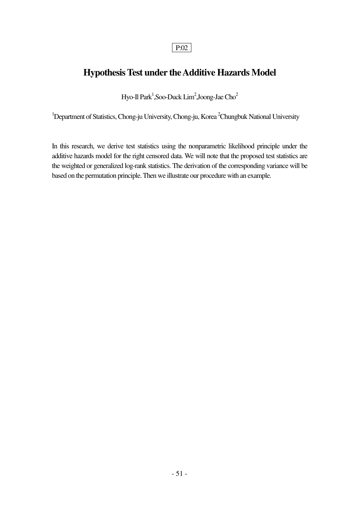### **Hypothesis Test under the Additive Hazards Model**

Hyo-Il Park<sup>1</sup>,Soo-Duck Lim<sup>2</sup>,Joong-Jae Cho<sup>2</sup>

<sup>1</sup>Department of Statistics, Chong-ju University, Chong-ju, Korea <sup>2</sup>Chungbuk National University

In this research, we derive test statistics using the nonparametric likelihood principle under the additive hazards model for the right censored data. We will note that the proposed test statistics are the weighted or generalized log-rank statistics. The derivation of the corresponding variance will be based on the permutation principle. Then we illustrate our procedure with an example.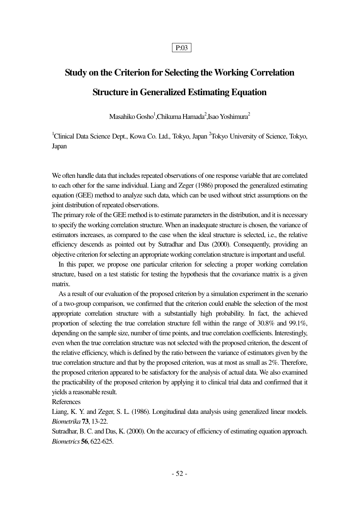## **Study on the Criterion for Selecting the Working Correlation Structure in Generalized Estimating Equation**

Masahiko Gosho $^{\rm l}$ ,Chikuma Hamada $^{\rm 2}$ ,Isao Yoshimura $^{\rm 2}$ 

<sup>1</sup>Clinical Data Science Dept., Kowa Co. Ltd., Tokyo, Japan<sup>2</sup>Tokyo University of Science, Tokyo, Japan

We often handle data that includes repeated observations of one response variable that are correlated to each other for the same individual. Liang and Zeger (1986) proposed the generalized estimating equation (GEE) method to analyze such data, which can be used without strict assumptions on the joint distribution of repeated observations.

The primary role of the GEE method is to estimate parameters in the distribution, and it is necessary to specify the working correlation structure. When an inadequate structure is chosen, the variance of estimators increases, as compared to the case when the ideal structure is selected, i.e., the relative efficiency descends as pointed out by Sutradhar and Das (2000). Consequently, providing an objective criterion for selecting an appropriate working correlation structure is important and useful.

 In this paper, we propose one particular criterion for selecting a proper working correlation structure, based on a test statistic for testing the hypothesis that the covariance matrix is a given matrix.

 As a result of our evaluation of the proposed criterion by a simulation experiment in the scenario of a two-group comparison, we confirmed that the criterion could enable the selection of the most appropriate correlation structure with a substantially high probability. In fact, the achieved proportion of selecting the true correlation structure fell within the range of 30.8% and 99.1%, depending on the sample size, number of time points, and true correlation coefficients. Interestingly, even when the true correlation structure was not selected with the proposed criterion, the descent of the relative efficiency, which is defined by the ratio between the variance of estimators given by the true correlation structure and that by the proposed criterion, was at most as small as 2%. Therefore, the proposed criterion appeared to be satisfactory for the analysis of actual data. We also examined the practicability of the proposed criterion by applying it to clinical trial data and confirmed that it yields a reasonable result.

#### References

Liang, K. Y. and Zeger, S. L. (1986). Longitudinal data analysis using generalized linear models. *Biometrika* **73**, 13-22.

Sutradhar, B. C. and Das, K. (2000). On the accuracy of efficiency of estimating equation approach. *Biometrics* **56**, 622-625.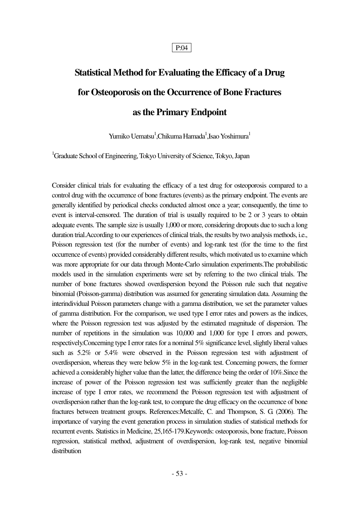## **Statistical Method for Evaluating the Efficacy of a Drug for Osteoporosis on the Occurrence of Bone Fractures as the Primary Endpoint**

Yumiko Uematsu<sup>1</sup>,Chikuma Hamada<sup>1</sup>,Isao Yoshimura<sup>1</sup>

<sup>1</sup>Graduate School of Engineering, Tokyo University of Science, Tokyo, Japan

Consider clinical trials for evaluating the efficacy of a test drug for osteoporosis compared to a control drug with the occurrence of bone fractures (events) as the primary endpoint. The events are generally identified by periodical checks conducted almost once a year; consequently, the time to event is interval-censored. The duration of trial is usually required to be 2 or 3 years to obtain adequate events. The sample size is usually 1,000 or more, considering dropouts due to such a long duration trial.According to our experiences of clinical trials, the results by two analysis methods, i.e., Poisson regression test (for the number of events) and log-rank test (for the time to the first occurrence of events) provided considerably different results, which motivated us to examine which was more appropriate for our data through Monte-Carlo simulation experiments.The probabilistic models used in the simulation experiments were set by referring to the two clinical trials. The number of bone fractures showed overdispersion beyond the Poisson rule such that negative binomial (Poisson-gamma) distribution was assumed for generating simulation data. Assuming the interindividual Poisson parameters change with a gamma distribution, we set the parameter values of gamma distribution. For the comparison, we used type I error rates and powers as the indices, where the Poisson regression test was adjusted by the estimated magnitude of dispersion. The number of repetitions in the simulation was 10,000 and 1,000 for type I errors and powers, respectively.Concerning type I error rates for a nominal 5% significance level, slightly liberal values such as 5.2% or 5.4% were observed in the Poisson regression test with adjustment of overdispersion, whereas they were below 5% in the log-rank test. Concerning powers, the former achieved a considerably higher value than the latter, the difference being the order of 10%.Since the increase of power of the Poisson regression test was sufficiently greater than the negligible increase of type I error rates, we recommend the Poisson regression test with adjustment of overdispersion rather than the log-rank test, to compare the drug efficacy on the occurrence of bone fractures between treatment groups. References:Metcalfe, C. and Thompson, S. G. (2006). The importance of varying the event generation process in simulation studies of statistical methods for recurrent events. Statistics in Medicine, 25,165-179.Keywords: osteoporosis, bone fracture, Poisson regression, statistical method, adjustment of overdispersion, log-rank test, negative binomial distribution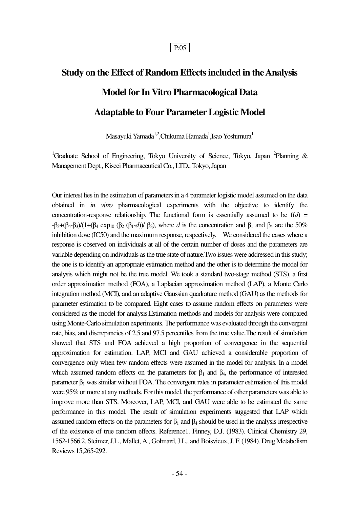# **Study on the Effect of Random Effects included in the Analysis Model for In Vitro Pharmacological Data Adaptable to Four Parameter Logistic Model**

Masayuki Yamada $\rm ^{1,2}$ ,Chikuma Hamada $\rm ^{1}$ ,Isao Yoshimura $\rm ^{1}$ 

<sup>1</sup>Graduate School of Engineering, Tokyo University of Science, Tokyo, Japan <sup>2</sup>Planning & Management Dept., Kiseei Pharmaceutical Co., LTD., Tokyo, Japan

Our interest lies in the estimation of parameters in a 4 parameter logistic model assumed on the data obtained in *in vitro* pharmacological experiments with the objective to identify the concentration-response relationship. The functional form is essentially assumed to be  $f(d) =$  $-$ β<sub>3</sub>+(β<sub>4</sub>-β<sub>3</sub>)/(1+(β<sub>4</sub> exp<sub>10</sub> (β<sub>2</sub> (β<sub>1</sub>-*d*))/ β<sub>3</sub>), where *d* is the concentration and β<sub>1</sub> and β<sub>4</sub> are the 50% inhibition dose (IC50) and the maximum response, respectively. We considered the cases where a response is observed on individuals at all of the certain number of doses and the parameters are variable depending on individuals as the true state of nature.Two issues were addressed in this study; the one is to identify an appropriate estimation method and the other is to determine the model for analysis which might not be the true model. We took a standard two-stage method (STS), a first order approximation method (FOA), a Laplacian approximation method (LAP), a Monte Carlo integration method (MCI), and an adaptive Gaussian quadrature method (GAU) as the methods for parameter estimation to be compared. Eight cases to assume random effects on parameters were considered as the model for analysis.Estimation methods and models for analysis were compared using Monte-Carlo simulation experiments. The performance was evaluated through the convergent rate, bias, and discrepancies of 2.5 and 97.5 percentiles from the true value.The result of simulation showed that STS and FOA achieved a high proportion of convergence in the sequential approximation for estimation. LAP, MCI and GAU achieved a considerable proportion of convergence only when few random effects were assumed in the model for analysis. In a model which assumed random effects on the parameters for  $\beta_1$  and  $\beta_4$ , the performance of interested parameter  $\beta_1$  was similar without FOA. The convergent rates in parameter estimation of this model were 95% or more at any methods. For this model, the performance of other parameters was able to improve more than STS. Moreover, LAP, MCI, and GAU were able to be estimated the same performance in this model. The result of simulation experiments suggested that LAP which assumed random effects on the parameters for  $β_1$  and  $β_4$  should be used in the analysis irrespective of the existence of true random effects. Reference1. Finney, D.J. (1983). Clinical Chemistry 29, 1562-1566.2. Steimer, J.L., Mallet, A., Golmard, J.L., and Boisvieux, J. F. (1984). Drug Metabolism Reviews 15,265-292.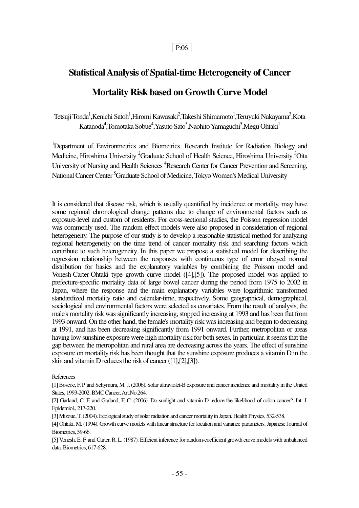## **Statistical Analysis of Spatial-time Heterogeneity of Cancer Mortality Risk based on Growth Curve Model**

Tetsuji Tonda<sup>1</sup>,Kenichi Satoh<sup>1</sup>,Hiromi Kawasaki<sup>2</sup>,Takeshi Shimamoto<sup>1</sup>,Teruyuki Nakayama<sup>3</sup>,Kota Katanoda<sup>4</sup>,Tomotaka Sobue<sup>4</sup>,Yasuto Sato<sup>5</sup>,Naohito Yamaguchi<sup>5</sup>,Megu Ohtaki<sup>1</sup>

<sup>1</sup>Department of Environmetrics and Biometrics, Research Institute for Radiation Biology and Medicine, Hiroshima University <sup>2</sup>Graduate School of Health Science, Hiroshima University <sup>3</sup>Oita University of Nursing and Health Sciences<sup>4</sup>Research Center for Cancer Prevention and Screening, National Cancer Center<sup>5</sup>Graduate School of Medicine, Tokyo Women's Medical University

It is considered that disease risk, which is usually quantified by incidence or mortality, may have some regional chronological change patterns due to change of environmental factors such as exposure-level and custom of residents. For cross-sectional studies, the Poisson regression model was commonly used. The random effect models were also proposed in consideration of regional heterogeneity. The purpose of our study is to develop a reasonable statistical method for analyzing regional heterogeneity on the time trend of cancer mortality risk and searching factors which contribute to such heterogeneity. In this paper we propose a statistical model for describing the regression relationship between the responses with continuous type of error obeyed normal distribution for basics and the explanatory variables by combining the Poisson model and Vonesh-Carter-Ohtaki type growth curve model ([4],[5]). The proposed model was applied to prefecture-specific mortality data of large bowel cancer during the period from 1975 to 2002 in Japan, where the response and the main explanatory variables were logarithmic transformed standardized mortality ratio and calendar-time, respectively. Some geographical, demographical, sociological and environmental factors were selected as covariates. From the result of analysis, the male's mortality risk was significantly increasing, stopped increasing at 1993 and has been flat from 1993 onward. On the other hand, the female's mortality risk was increasing and begun to decreasing at 1991, and has been decreasing significantly from 1991 onward. Further, metropolitan or areas having low sunshine exposure were high mortality risk for both sexes. In particular, it seems that the gap between the metropolitan and rural area are decreasing across the years. The effect of sunshine exposure on mortality risk has been thought that the sunshine exposure produces a vitamin D in the skin and vitamin D reduces the risk of cancer ([1],[2],[3]).

References

[1] Boscoe, F. P. and Schymura, M. J. (2006). Solar ultraviolet-B exposure and cancer incidence and mortality in the United States, 1993-2002. BMC Cancer, Art.No.264.

[2] Garland, C. F. and Garland, F. C. (2006). Do sunlight and vitamin D reduce the likelihood of colon cancer?. Int. J. Epidemiol., 217-220.

[3] Mizoue, T. (2004). Ecological study of solar radiation and cancer mortality in Japan. Health Physics, 532-538.

[4] Ohtaki, M. (1994). Growth curve models with linear structure for location and variance parameters. Japanese Journal of Biometrics, 59-66.

[5] Vonesh, E. F. and Carter, R. L. (1987). Efficient inference for random-coefficient growth curve models with unbalanced data. Biometrics, 617-628.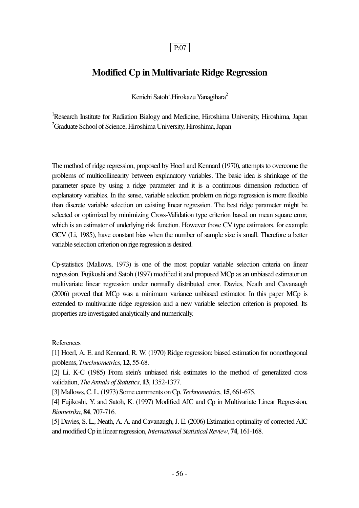### **Modified Cp in Multivariate Ridge Regression**

Kenichi Satoh<sup>1</sup>,Hirokazu Yanagihara<sup>2</sup>

<sup>1</sup>Research Institute for Radiation Bialogy and Medicine, Hiroshima University, Hiroshima, Japan <sup>2</sup>Graduate School of Science, Hiroshima University, Hiroshima, Japan

The method of ridge regression, proposed by Hoerl and Kennard (1970), attempts to overcome the problems of multicollinearity between explanatory variables. The basic idea is shrinkage of the parameter space by using a ridge parameter and it is a continuous dimension reduction of explanatory variables. In the sense, variable selection problem on ridge regression is more flexible than discrete variable selection on existing linear regression. The best ridge parameter might be selected or optimized by minimizing Cross-Validation type criterion based on mean square error, which is an estimator of underlying risk function. However those CV type estimators, for example GCV (Li, 1985), have constant bias when the number of sample size is small. Therefore a better variable selection criterion on rige regression is desired.

Cp-statistics (Mallows, 1973) is one of the most popular variable selection criteria on linear regression. Fujikoshi and Satoh (1997) modified it and proposed MCp as an unbiased estimator on multivariate linear regression under normally distributed error. Davies, Neath and Cavanaugh (2006) proved that MCp was a minimum variance unbiased estimator. In this paper MCp is extended to multivariate ridge regression and a new variable selection criterion is proposed. Its properties are investigated analytically and numerically.

#### References

[1] Hoerl, A. E. and Kennard, R. W. (1970) Ridge regression: biased estimation for nonorthogonal problems, *Thechnometrics*, **12**, 55-68.

[2] Li, K-C (1985) From stein's unbiased risk estimates to the method of generalized cross validation, *The Annals of Statistics*, **13**, 1352-1377.

[3] Mallows, C. L. (1973) Some comments on Cp, *Technometrics*, **15**, 661-675.

[4] Fujikoshi, Y. and Satoh, K. (1997) Modified AIC and Cp in Multivariate Linear Regression, *Biometrika*, **84**, 707-716.

[5] Davies, S. L., Neath, A. A. and Cavanaugh, J. E. (2006) Estimation optimality of corrected AIC and modified Cp in linear regression, *International Statistical Review*, **74**, 161-168.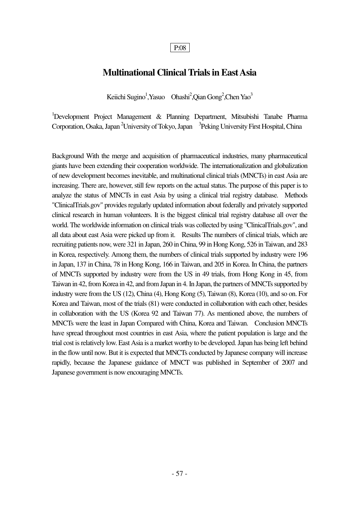### **Multinational Clinical Trials in East Asia**

Keiichi Sugino<sup>1</sup>, Yasuo Ohashi<sup>2</sup>, Qian Gong<sup>2</sup>, Chen Yao<sup>3</sup>

 $1$ Development Project Management & Planning Department, Mitsubishi Tanabe Pharma Corporation, Osaka, Japan<sup>2</sup>University of Tokyo, Japan <sup>3</sup> Peking University First Hospital, China

Background With the merge and acquisition of pharmaceutical industries, many pharmaceutical giants have been extending their cooperation worldwide. The internationalization and globalization of new development becomes inevitable, and multinational clinical trials (MNCTs) in east Asia are increasing. There are, however, still few reports on the actual status. The purpose of this paper is to analyze the status of MNCTs in east Asia by using a clinical trial registry database. Methods "ClinicalTrials.gov" provides regularly updated information about federally and privately supported clinical research in human volunteers. It is the biggest clinical trial registry database all over the world. The worldwide information on clinical trials was collected by using "ClinicalTrials.gov", and all data about east Asia were picked up from it. Results The numbers of clinical trials, which are recruiting patients now, were 321 in Japan, 260 in China, 99 in Hong Kong, 526 in Taiwan, and 283 in Korea, respectively. Among them, the numbers of clinical trials supported by industry were 196 in Japan, 137 in China, 78 in Hong Kong, 166 in Taiwan, and 205 in Korea. In China, the partners of MNCTs supported by industry were from the US in 49 trials, from Hong Kong in 45, from Taiwan in 42, from Korea in 42, and from Japan in 4. In Japan, the partners of MNCTs supported by industry were from the US (12), China (4), Hong Kong (5), Taiwan (8), Korea (10), and so on. For Korea and Taiwan, most of the trials (81) were conducted in collaboration with each other, besides in collaboration with the US (Korea 92 and Taiwan 77). As mentioned above, the numbers of MNCTs were the least in Japan Compared with China, Korea and Taiwan. Conclusion MNCTs have spread throughout most countries in east Asia, where the patient population is large and the trial cost is relatively low. East Asia is a market worthy to be developed. Japan has being left behind in the flow until now. But it is expected that MNCTs conducted by Japanese company will increase rapidly, because the Japanese guidance of MNCT was published in September of 2007 and Japanese government is now encouraging MNCTs.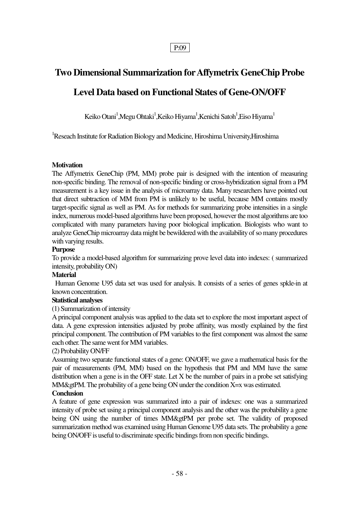## **Two Dimensional Summarization for Affymetrix GeneChip Probe Level Data based on Functional States of Gene-ON/OFF**

Keiko Otani $^1$ ,Megu Ohtaki $^1$ ,Keiko Hiyama $^1$ ,Kenichi Satoh $^1$ ,Eiso Hiyama $^1$ 

<sup>1</sup>Reseach Institute for Radiation Biology and Medicine, Hiroshima University, Hiroshima

#### **Motivation**

The Affymetrix GeneChip (PM, MM) probe pair is designed with the intention of measuring non-specific binding. The removal of non-specific binding or cross-hybridization signal from a PM measurement is a key issue in the analysis of microarray data. Many researchers have pointed out that direct subtraction of MM from PM is unlikely to be useful, because MM contains mostly target-specific signal as well as PM. As for methods for summarizing probe intensities in a single index, numerous model-based algorithms have been proposed, however the most algorithms are too complicated with many parameters having poor biological implication. Biologists who want to analyze GeneChip microarray data might be bewildered with the availability of so many procedures with varying results.

#### **Purpose**

To provide a model-based algorithm for summarizing prove level data into indexes: ( summarized intensity, probability ON)

#### **Material**

 Human Genome U95 data set was used for analysis. It consists of a series of genes spkle-in at known concentration.

#### **Statistical analyses**

#### (1) Summarization of intensity

A principal component analysis was applied to the data set to explore the most important aspect of data. A gene expression intensities adjusted by probe affinity, was mostly explained by the first principal component. The contribution of PM variables to the first component was almost the same each other. The same went for MM variables.

#### (2) Probability ON/FF

Assuming two separate functional states of a gene: ON/OFF, we gave a mathematical basis for the pair of measurements (PM, MM) based on the hypothesis that PM and MM have the same distribution when a gene is in the OFF state. Let X be the number of pairs in a probe set satisfying  $MM\&$ gtPM. The probability of a gene being ON under the condition  $X=x$  was estimated.

#### **Conclusion**

A feature of gene expression was summarized into a pair of indexes: one was a summarized intensity of probe set using a principal component analysis and the other was the probability a gene being ON using the number of times MM&gtPM per probe set. The validity of proposed summarization method was examined using Human Genome U95 data sets. The probability a gene being ON/OFF is useful to discriminate specific bindings from non specific bindings.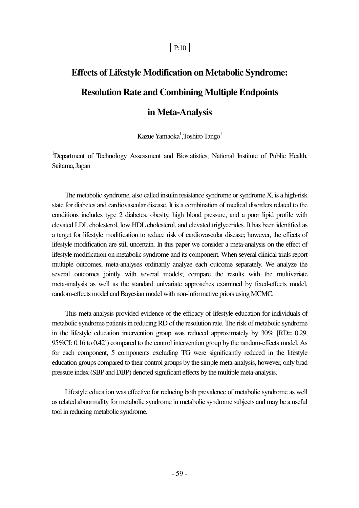# **Effects of Lifestyle Modification on Metabolic Syndrome: Resolution Rate and Combining Multiple Endpoints**

### **in Meta-Analysis**

Kazue Yamaoka<sup>1</sup>, Toshiro Tango<sup>1</sup>

<sup>1</sup>Department of Technology Assessment and Biostatistics, National Institute of Public Health, Saitama, Japan

 The metabolic syndrome, also called insulin resistance syndrome or syndrome X, is a high-risk state for diabetes and cardiovascular disease. It is a combination of medical disorders related to the conditions includes type 2 diabetes, obesity, high blood pressure, and a poor lipid profile with elevated LDL cholesterol, low HDL cholesterol, and elevated triglycerides. It has been identified as a target for lifestyle modification to reduce risk of cardiovascular disease; however, the effects of lifestyle modification are still uncertain. In this paper we consider a meta-analysis on the effect of lifestyle modification on metabolic syndrome and its component. When several clinical trials report multiple outcomes, meta-analyses ordinarily analyze each outcome separately. We analyze the several outcomes jointly with several models; compare the results with the multivariate meta-analysis as well as the standard univariate approaches examined by fixed-effects model, random-effects model and Bayesian model with non-informative priors using MCMC.

 This meta-analysis provided evidence of the efficacy of lifestyle education for individuals of metabolic syndrome patients in reducing RD of the resolution rate. The risk of metabolic syndrome in the lifestyle education intervention group was reduced approximately by 30% [RD= 0.29, 95%CI: 0.16 to 0.42]) compared to the control intervention group by the random-effects model. As for each component, 5 components excluding TG were significantly reduced in the lifestyle education groups compared to their control groups by the simple meta-analysis, however, only brad pressure index (SBP and DBP) denoted significant effects by the multiple meta-analysis.

 Lifestyle education was effective for reducing both prevalence of metabolic syndrome as well as related abnormality for metabolic syndrome in metabolic syndrome subjects and may be a useful tool in reducing metabolic syndrome.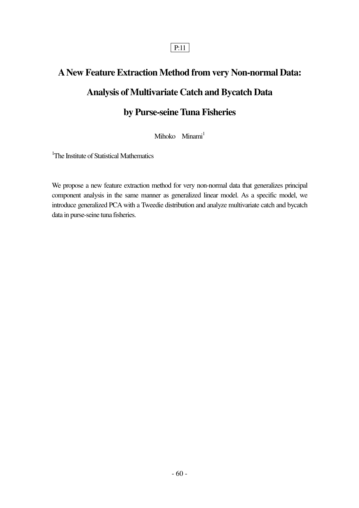# **A New Feature Extraction Method from very Non-normal Data: Analysis of Multivariate Catch and Bycatch Data by Purse-seine Tuna Fisheries**

Mihoko Minami<sup>1</sup>

<sup>1</sup>The Institute of Statistical Mathematics

We propose a new feature extraction method for very non-normal data that generalizes principal component analysis in the same manner as generalized linear model. As a specific model, we introduce generalized PCA with a Tweedie distribution and analyze multivariate catch and bycatch data in purse-seine tuna fisheries.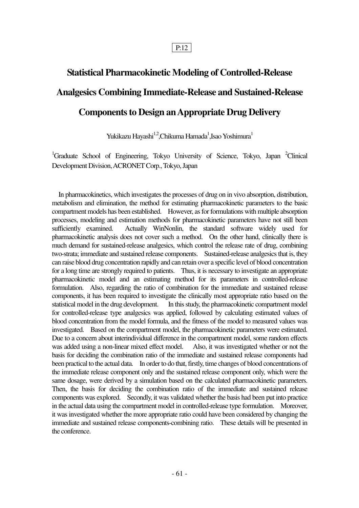## **Statistical Pharmacokinetic Modeling of Controlled-Release Analgesics Combining Immediate-Release and Sustained-Release Components to Design an Appropriate Drug Delivery**

Yukikazu Hayashi $\rm{^{1,2},Chikuma}$ Hamada $\rm{^{1},Isao}$  Yoshimura $\rm{^{1}}$ 

<sup>1</sup>Graduate School of Engineering, Tokyo University of Science, Tokyo, Japan  ${}^{2}$ Clinical Development Division, ACRONET Corp., Tokyo, Japan

 In pharmacokinetics, which investigates the processes of drug on in vivo absorption, distribution, metabolism and elimination, the method for estimating pharmacokinetic parameters to the basic compartment models has been established. However, as for formulations with multiple absorption processes, modeling and estimation methods for pharmacokinetic parameters have not still been sufficiently examined. Actually WinNonlin, the standard software widely used for pharmacokinetic analysis does not cover such a method. On the other hand, clinically there is much demand for sustained-release analgesics, which control the release rate of drug, combining two-strata; immediate and sustained release components. Sustained-release analgesics that is, they can raise blood drug concentration rapidly and can retain over a specific level of blood concentration for a long time are strongly required to patients. Thus, it is necessary to investigate an appropriate pharmacokinetic model and an estimating method for its parameters in controlled-release formulation. Also, regarding the ratio of combination for the immediate and sustained release components, it has been required to investigate the clinically most appropriate ratio based on the statistical model in the drug development. In this study, the pharmacokinetic compartment model for controlled-release type analgesics was applied, followed by calculating estimated values of blood concentration from the model formula, and the fitness of the model to measured values was investigated. Based on the compartment model, the pharmacokinetic parameters were estimated. Due to a concern about interindividual difference in the compartment model, some random effects was added using a non-linear mixed effect model. Also, it was investigated whether or not the basis for deciding the combination ratio of the immediate and sustained release components had been practical to the actual data. In order to do that, firstly, time changes of blood concentrations of the immediate release component only and the sustained release component only, which were the same dosage, were derived by a simulation based on the calculated pharmacokinetic parameters. Then, the basis for deciding the combination ratio of the immediate and sustained release components was explored. Secondly, it was validated whether the basis had been put into practice in the actual data using the compartment model in controlled-release type formulation. Moreover, it was investigated whether the more appropriate ratio could have been considered by changing the immediate and sustained release components-combining ratio. These details will be presented in the conference.